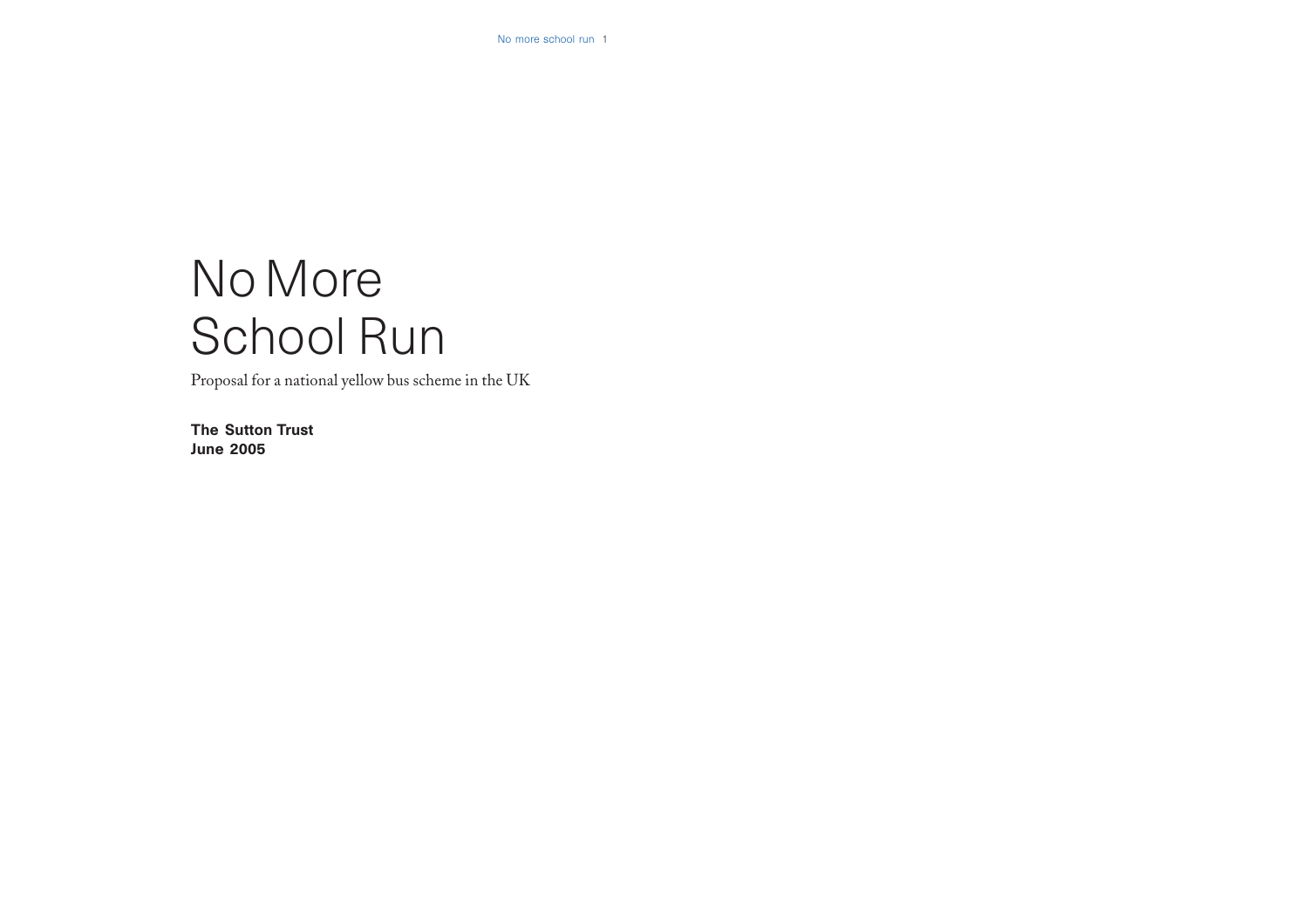# No More School Run

Proposal for a national yellow bus scheme in the UK

The Sutton Trust June 2005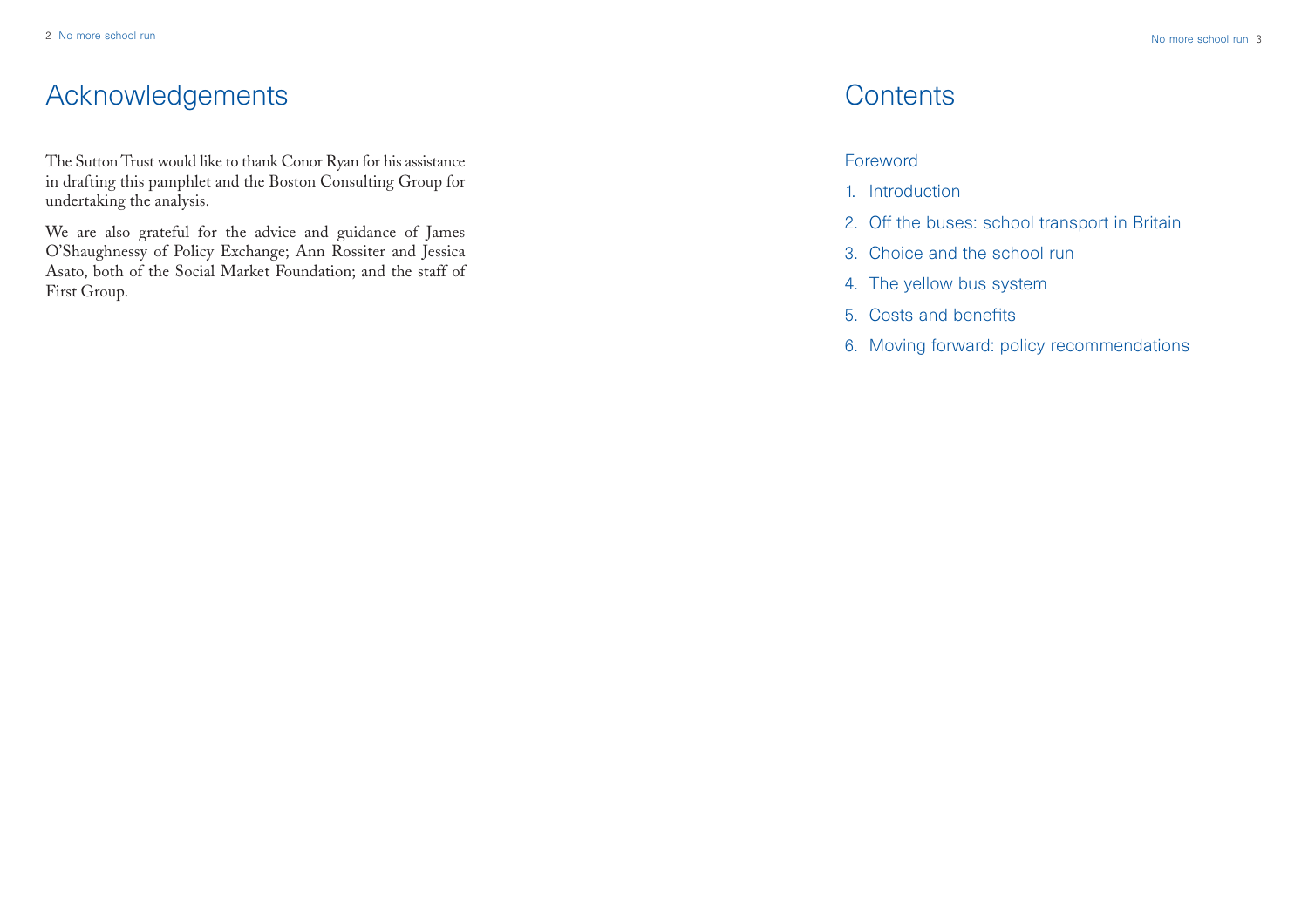# Acknowledgements

The Sutton Trust would like to thank Conor Ryan for his assistance in drafting this pamphlet and the Boston Consulting Group for undertaking the analysis.

We are also grateful for the advice and guidance of James O'Shaughnessy of Policy Exchange; Ann Rossiter and Jessica Asato, both of the Social Market Foundation; and the staff of First Group.

# **Contents**

# Foreword

- 1. Introduction
- 2. Off the buses: school transport in Britain
- 3. Choice and the school run
- 4. The yellow bus system
- 5. Costs and benefits
- 6. Moving forward: policy recommendations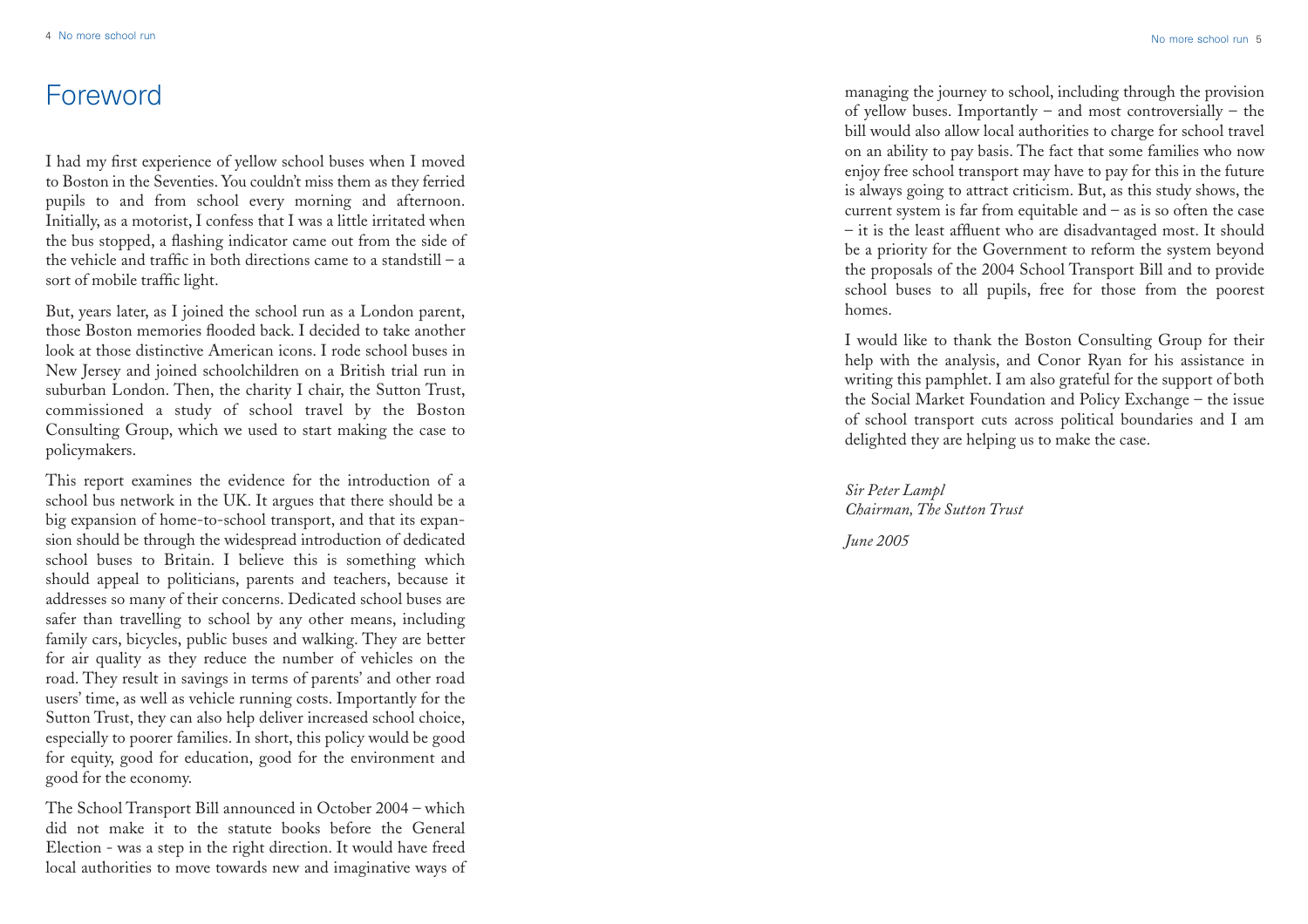# Foreword

I had my first experience of yellow school buses when I moved to Boston in the Seventies. You couldn't miss them as they ferried pupils to and from school every morning and afternoon. Initially, as a motorist, I confess that I was a little irritated when the bus stopped, a flashing indicator came out from the side of the vehicle and traffic in both directions came to a standstill – a sort of mobile traffic light.

But, years later, as I joined the school run as a London parent, those Boston memories flooded back. I decided to take another look at those distinctive American icons. I rode school buses in New Jersey and joined schoolchildren on a British trial run in suburban London. Then, the charity I chair, the Sutton Trust, commissioned a study of school travel by the Boston Consulting Group, which we used to start making the case to policymakers.

This report examines the evidence for the introduction of a school bus network in the UK. It argues that there should be a big expansion of home-to-school transport, and that its expansion should be through the widespread introduction of dedicated school buses to Britain. I believe this is something which should appeal to politicians, parents and teachers, because it addresses so many of their concerns. Dedicated school buses are safer than travelling to school by any other means, including family cars, bicycles, public buses and walking. They are better for air quality as they reduce the number of vehicles on the road. They result in savings in terms of parents' and other road users' time, as well as vehicle running costs. Importantly for the Sutton Trust, they can also help deliver increased school choice, especially to poorer families. In short, this policy would be good for equity, good for education, good for the environment and good for the economy.

The School Transport Bill announced in October 2004 – which did not make it to the statute books before the General Election - was a step in the right direction. It would have freed local authorities to move towards new and imaginative ways of managing the journey to school, including through the provision of yellow buses. Importantly – and most controversially – the bill would also allow local authorities to charge for school travel on an ability to pay basis. The fact that some families who now enjoy free school transport may have to pay for this in the future is always going to attract criticism. But, as this study shows, the current system is far from equitable and – as is so often the case – it is the least affluent who are disadvantaged most. It should be a priority for the Government to reform the system beyond the proposals of the 2004 School Transport Bill and to provide school buses to all pupils, free for those from the poorest homes.

I would like to thank the Boston Consulting Group for their help with the analysis, and Conor Ryan for his assistance in writing this pamphlet. I am also grateful for the support of both the Social Market Foundation and Policy Exchange – the issue of school transport cuts across political boundaries and I am delighted they are helping us to make the case.

*Sir Peter Lampl Chairman, The Sutton Trust*

*June 2005*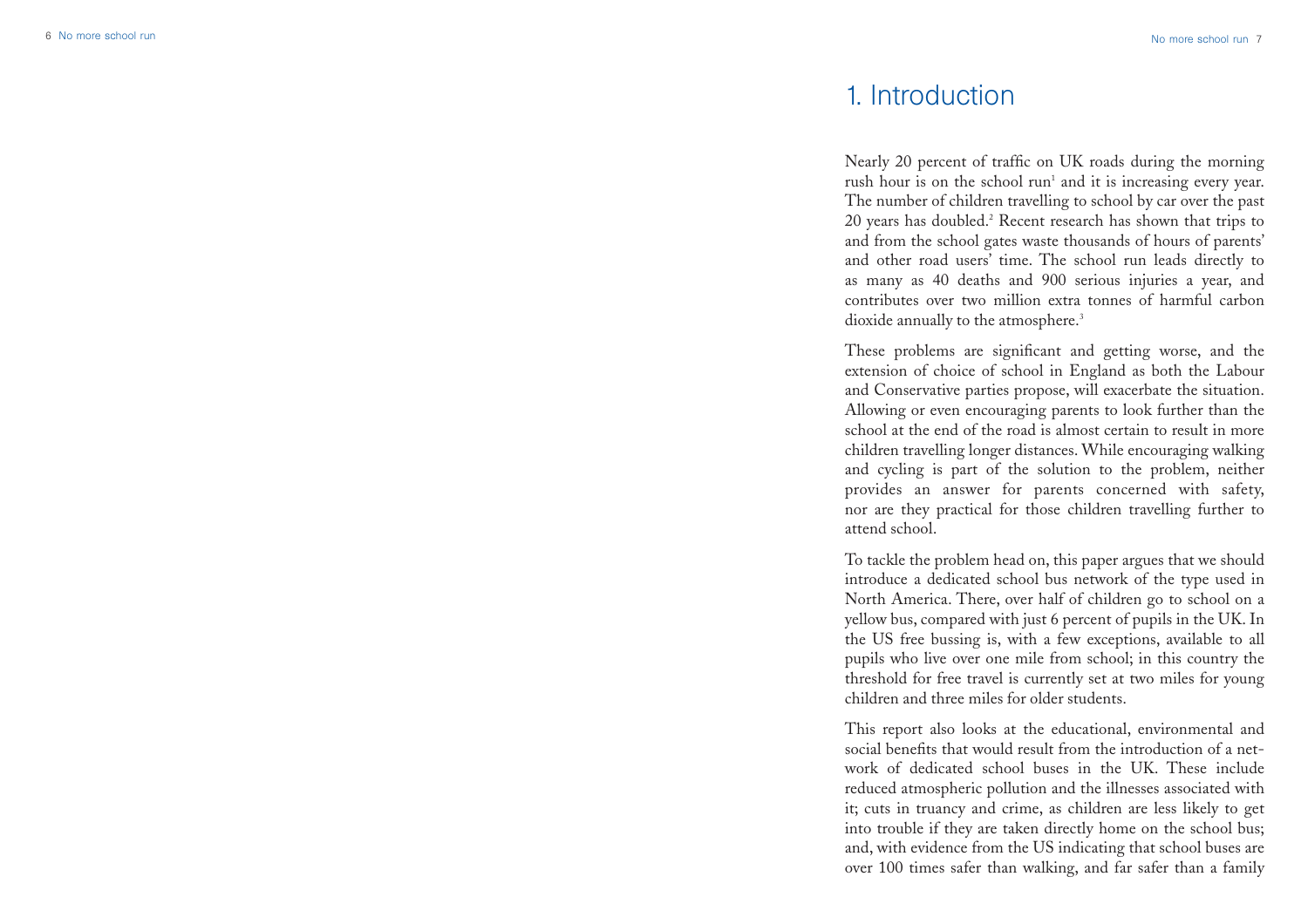# 1. Introduction

Nearly 20 percent of traffic on UK roads during the morning rush hour is on the school run<sup>1</sup> and it is increasing every year. The number of children travelling to school by car over the past 20 years has doubled.<sup>2</sup> Recent research has shown that trips to and from the school gates waste thousands of hours of parents' and other road users' time. The school run leads directly to as many as 40 deaths and 900 serious injuries a year, and contributes over two million extra tonnes of harmful carbon dioxide annually to the atmosphere.<sup>3</sup>

These problems are significant and getting worse, and the extension of choice of school in England as both the Labour and Conservative parties propose, will exacerbate the situation. Allowing or even encouraging parents to look further than the school at the end of the road is almost certain to result in more children travelling longer distances. While encouraging walking and cycling is part of the solution to the problem, neither provides an answer for parents concerned with safety, nor are they practical for those children travelling further to attend school.

To tackle the problem head on, this paper argues that we should introduce a dedicated school bus network of the type used in North America. There, over half of children go to school on a yellow bus, compared with just 6 percent of pupils in the UK. In the US free bussing is, with a few exceptions, available to all pupils who live over one mile from school; in this country the threshold for free travel is currently set at two miles for young children and three miles for older students.

This report also looks at the educational, environmental and social benefits that would result from the introduction of a network of dedicated school buses in the UK. These include reduced atmospheric pollution and the illnesses associated with it; cuts in truancy and crime, as children are less likely to get into trouble if they are taken directly home on the school bus; and, with evidence from the US indicating that school buses are over 100 times safer than walking, and far safer than a family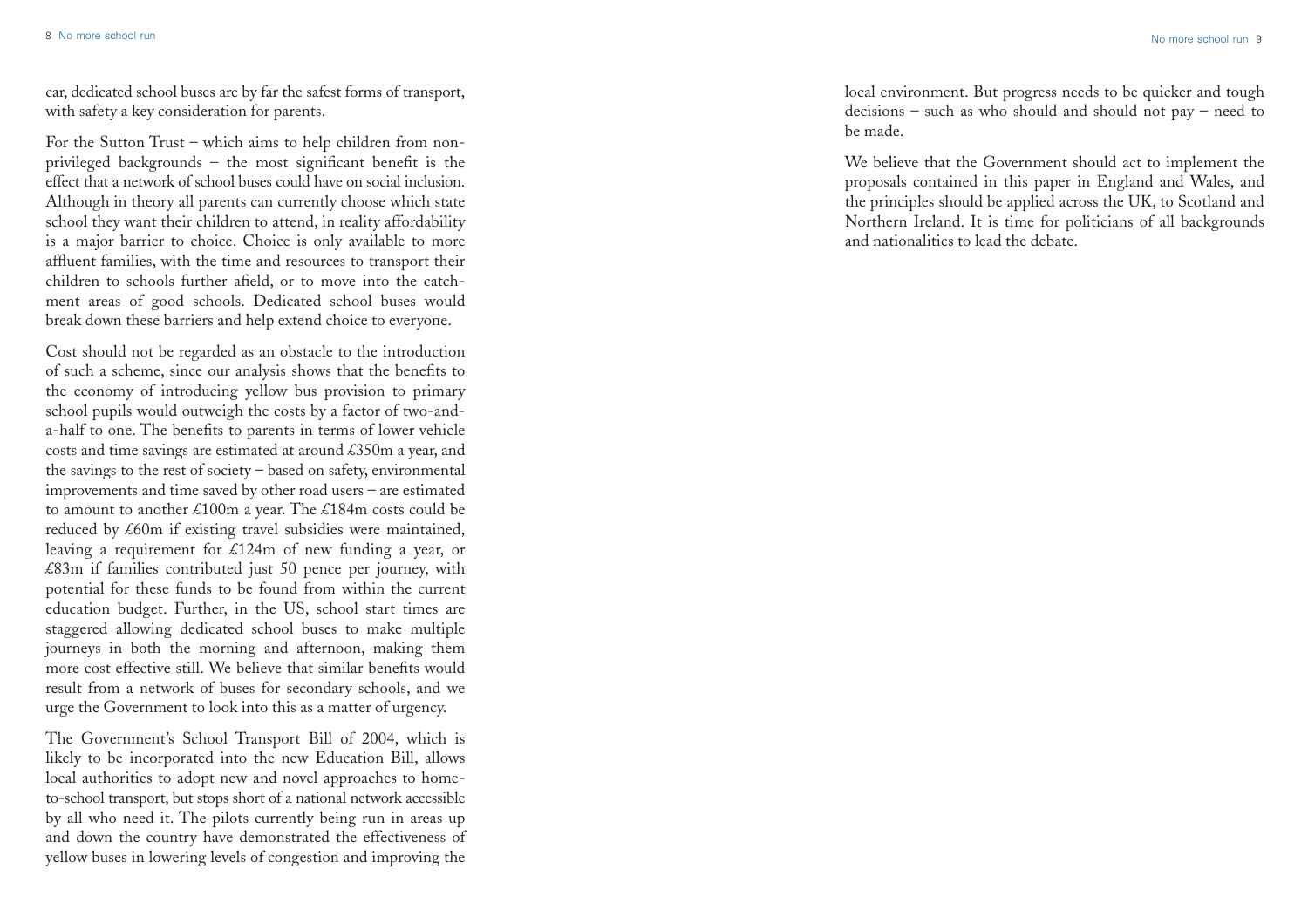car, dedicated school buses are by far the safest forms of transport, with safety a key consideration for parents.

For the Sutton Trust – which aims to help children from nonprivileged backgrounds – the most significant benefit is the effect that a network of school buses could have on social inclusion. Although in theory all parents can currently choose which state school they want their children to attend, in reality affordability is a major barrier to choice. Choice is only available to more affluent families, with the time and resources to transport their children to schools further afield, or to move into the catchment areas of good schools. Dedicated school buses would break down these barriers and help extend choice to everyone.

Cost should not be regarded as an obstacle to the introduction of such a scheme, since our analysis shows that the benefits to the economy of introducing yellow bus provision to primary school pupils would outweigh the costs by a factor of two-anda-half to one. The benefits to parents in terms of lower vehicle costs and time savings are estimated at around £350m a year, and the savings to the rest of society – based on safety, environmental improvements and time saved by other road users – are estimated to amount to another £100m a year. The £184m costs could be reduced by £60m if existing travel subsidies were maintained, leaving a requirement for £124m of new funding a year, or £83m if families contributed just 50 pence per journey, with potential for these funds to be found from within the current education budget. Further, in the US, school start times are staggered allowing dedicated school buses to make multiple journeys in both the morning and afternoon, making them more cost effective still. We believe that similar benefits would result from a network of buses for secondary schools, and we urge the Government to look into this as a matter of urgency.

The Government's School Transport Bill of 2004, which is likely to be incorporated into the new Education Bill, allows local authorities to adopt new and novel approaches to hometo-school transport, but stops short of a national network accessible by all who need it. The pilots currently being run in areas up and down the country have demonstrated the effectiveness of yellow buses in lowering levels of congestion and improving the

local environment. But progress needs to be quicker and tough decisions – such as who should and should not pay – need to be made.

We believe that the Government should act to implement the proposals contained in this paper in England and Wales, and the principles should be applied across the UK, to Scotland and Northern Ireland. It is time for politicians of all backgrounds and nationalities to lead the debate.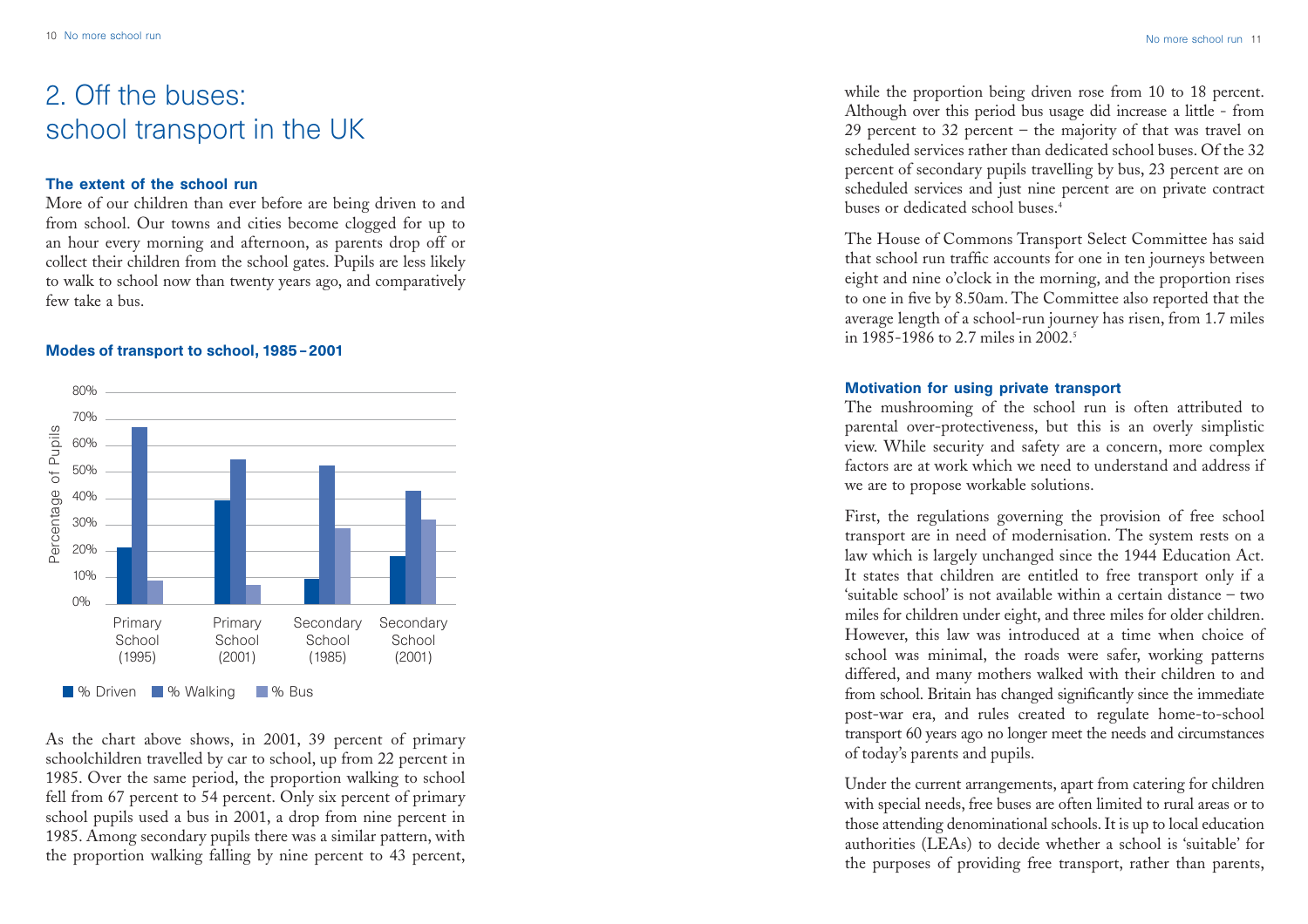# 2. Off the buses: school transport in the UK

# The extent of the school run

More of our children than ever before are being driven to and from school. Our towns and cities become clogged for up to an hour every morning and afternoon, as parents drop off or collect their children from the school gates. Pupils are less likely to walk to school now than twenty years ago, and comparatively few take a bus.

### Modes of transport to school, 1985 – 2001



As the chart above shows, in 2001, 39 percent of primary schoolchildren travelled by car to school, up from 22 percent in 1985. Over the same period, the proportion walking to school fell from 67 percent to 54 percent. Only six percent of primary school pupils used a bus in 2001, a drop from nine percent in 1985. Among secondary pupils there was a similar pattern, with the proportion walking falling by nine percent to 43 percent,

while the proportion being driven rose from 10 to 18 percent. Although over this period bus usage did increase a little - from 29 percent to 32 percent – the majority of that was travel on scheduled services rather than dedicated school buses. Of the 32 percent of secondary pupils travelling by bus, 23 percent are on scheduled services and just nine percent are on private contract buses or dedicated school buses.4

The House of Commons Transport Select Committee has said that school run traffic accounts for one in ten journeys between eight and nine o'clock in the morning, and the proportion rises to one in five by 8.50am. The Committee also reported that the average length of a school-run journey has risen, from 1.7 miles in 1985-1986 to 2.7 miles in 2002.<sup>5</sup>

## Motivation for using private transport

The mushrooming of the school run is often attributed to parental over-protectiveness, but this is an overly simplistic view. While security and safety are a concern, more complex factors are at work which we need to understand and address if we are to propose workable solutions.

First, the regulations governing the provision of free school transport are in need of modernisation. The system rests on a law which is largely unchanged since the 1944 Education Act. It states that children are entitled to free transport only if a 'suitable school' is not available within a certain distance – two miles for children under eight, and three miles for older children. However, this law was introduced at a time when choice of school was minimal, the roads were safer, working patterns differed, and many mothers walked with their children to and from school. Britain has changed significantly since the immediate post-war era, and rules created to regulate home-to-school transport 60 years ago no longer meet the needs and circumstances of today's parents and pupils.

Under the current arrangements, apart from catering for children with special needs, free buses are often limited to rural areas or to those attending denominational schools. It is up to local education authorities (LEAs) to decide whether a school is 'suitable' for the purposes of providing free transport, rather than parents,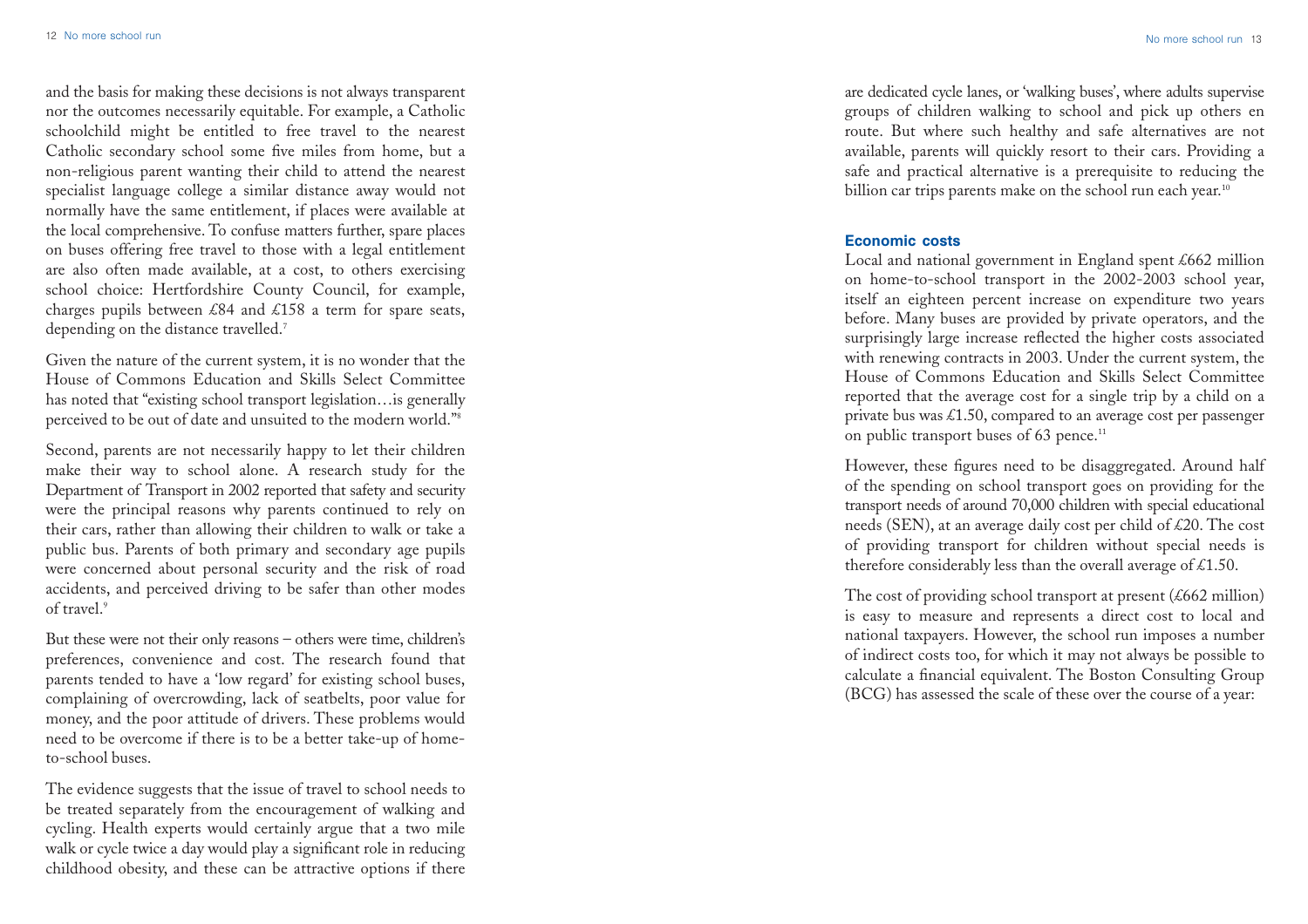and the basis for making these decisions is not always transparent nor the outcomes necessarily equitable. For example, a Catholic schoolchild might be entitled to free travel to the nearest Catholic secondary school some five miles from home, but a non-religious parent wanting their child to attend the nearest specialist language college a similar distance away would not normally have the same entitlement, if places were available at the local comprehensive. To confuse matters further, spare places on buses offering free travel to those with a legal entitlement are also often made available, at a cost, to others exercising school choice: Hertfordshire County Council, for example, charges pupils between £84 and £158 a term for spare seats, depending on the distance travelled.<sup>7</sup>

Given the nature of the current system, it is no wonder that the House of Commons Education and Skills Select Committee has noted that "existing school transport legislation…is generally perceived to be out of date and unsuited to the modern world."8

Second, parents are not necessarily happy to let their children make their way to school alone. A research study for the Department of Transport in 2002 reported that safety and security were the principal reasons why parents continued to rely on their cars, rather than allowing their children to walk or take a public bus. Parents of both primary and secondary age pupils were concerned about personal security and the risk of road accidents, and perceived driving to be safer than other modes of travel.<sup>9</sup>

But these were not their only reasons – others were time, children's preferences, convenience and cost. The research found that parents tended to have a 'low regard' for existing school buses, complaining of overcrowding, lack of seatbelts, poor value for money, and the poor attitude of drivers. These problems would need to be overcome if there is to be a better take-up of hometo-school buses.

The evidence suggests that the issue of travel to school needs to be treated separately from the encouragement of walking and cycling. Health experts would certainly argue that a two mile walk or cycle twice a day would play a significant role in reducing childhood obesity, and these can be attractive options if there

are dedicated cycle lanes, or 'walking buses', where adults supervise groups of children walking to school and pick up others en route. But where such healthy and safe alternatives are not available, parents will quickly resort to their cars. Providing a safe and practical alternative is a prerequisite to reducing the billion car trips parents make on the school run each year.<sup>10</sup>

### Economic costs

Local and national government in England spent £662 million on home-to-school transport in the 2002-2003 school year, itself an eighteen percent increase on expenditure two years before. Many buses are provided by private operators, and the surprisingly large increase reflected the higher costs associated with renewing contracts in 2003. Under the current system, the House of Commons Education and Skills Select Committee reported that the average cost for a single trip by a child on a private bus was  $\text{\pounds}1.50$ , compared to an average cost per passenger on public transport buses of 63 pence.<sup>11</sup>

However, these figures need to be disaggregated. Around half of the spending on school transport goes on providing for the transport needs of around 70,000 children with special educational needs (SEN), at an average daily cost per child of £20. The cost of providing transport for children without special needs is therefore considerably less than the overall average of  $\text{\pounds}1.50$ .

The cost of providing school transport at present  $(£662$  million) is easy to measure and represents a direct cost to local and national taxpayers. However, the school run imposes a number of indirect costs too, for which it may not always be possible to calculate a financial equivalent. The Boston Consulting Group (BCG) has assessed the scale of these over the course of a year: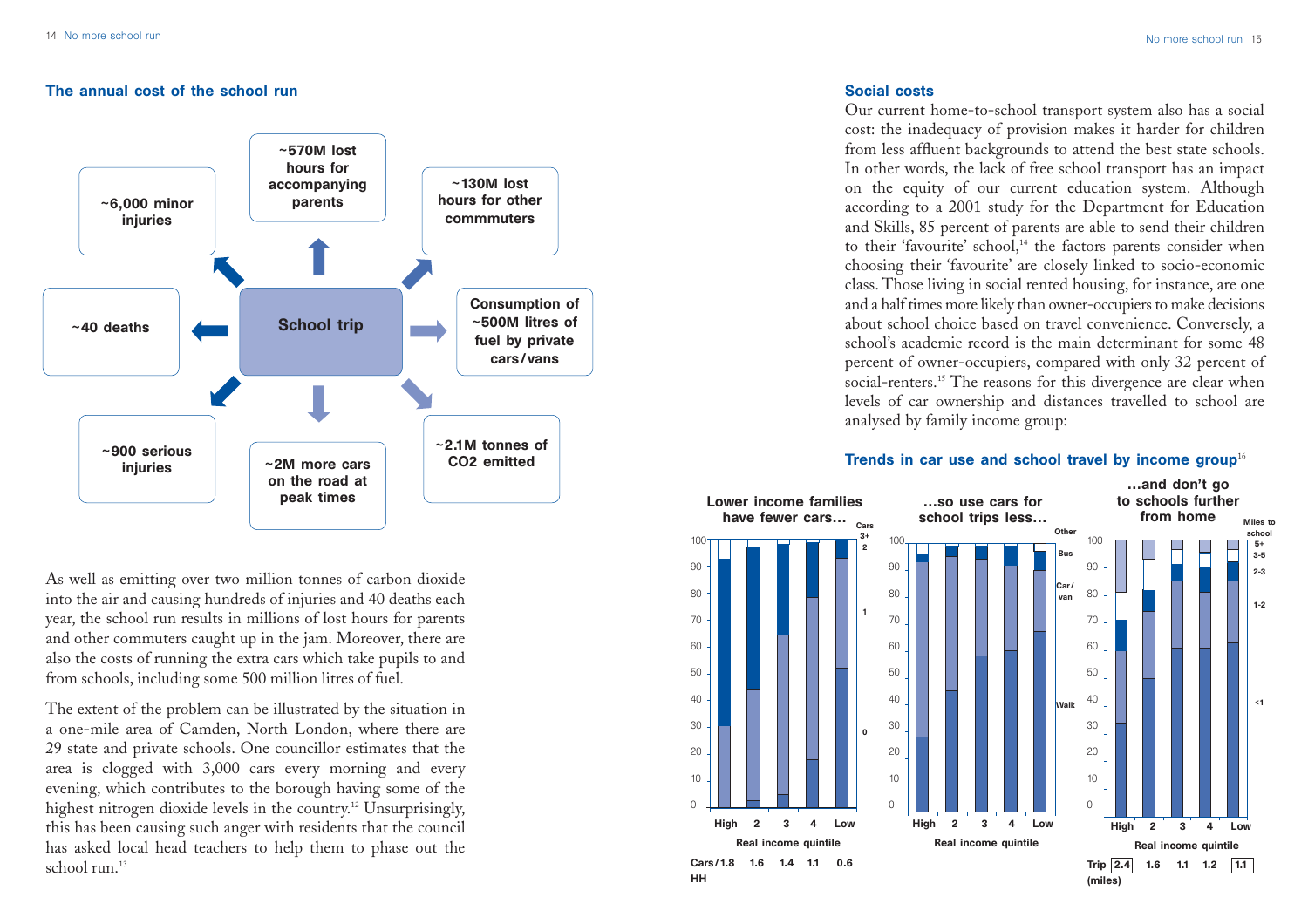# The annual cost of the school run



As well as emitting over two million tonnes of carbon dioxide into the air and causing hundreds of injuries and 40 deaths each year, the school run results in millions of lost hours for parents and other commuters caught up in the jam. Moreover, there are also the costs of running the extra cars which take pupils to and from schools, including some 500 million litres of fuel.

The extent of the problem can be illustrated by the situation in a one-mile area of Camden, North London, where there are 29 state and private schools. One councillor estimates that the area is clogged with 3,000 cars every morning and every evening, which contributes to the borough having some of the highest nitrogen dioxide levels in the country.<sup>12</sup> Unsurprisingly, this has been causing such anger with residents that the council has asked local head teachers to help them to phase out the school run.<sup>13</sup>

# Social costs

Our current home-to-school transport system also has a social cost: the inadequacy of provision makes it harder for children from less affluent backgrounds to attend the best state schools. In other words, the lack of free school transport has an impact on the equity of our current education system. Although according to a 2001 study for the Department for Education and Skills, 85 percent of parents are able to send their children to their 'favourite' school,<sup>14</sup> the factors parents consider when choosing their 'favourite' are closely linked to socio-economic class. Those living in social rented housing, for instance, are one and a half times more likely than owner-occupiers to make decisions about school choice based on travel convenience. Conversely, <sup>a</sup> school's academic record is the main determinant for some 48 percent of owner-occupiers, compared with only 32 percent of social-renters.<sup>15</sup> The reasons for this divergence are clear when levels of car ownership and distances travelled to school are analysed by family income group:

# Trends in car use and school travel by income group<sup>16</sup>

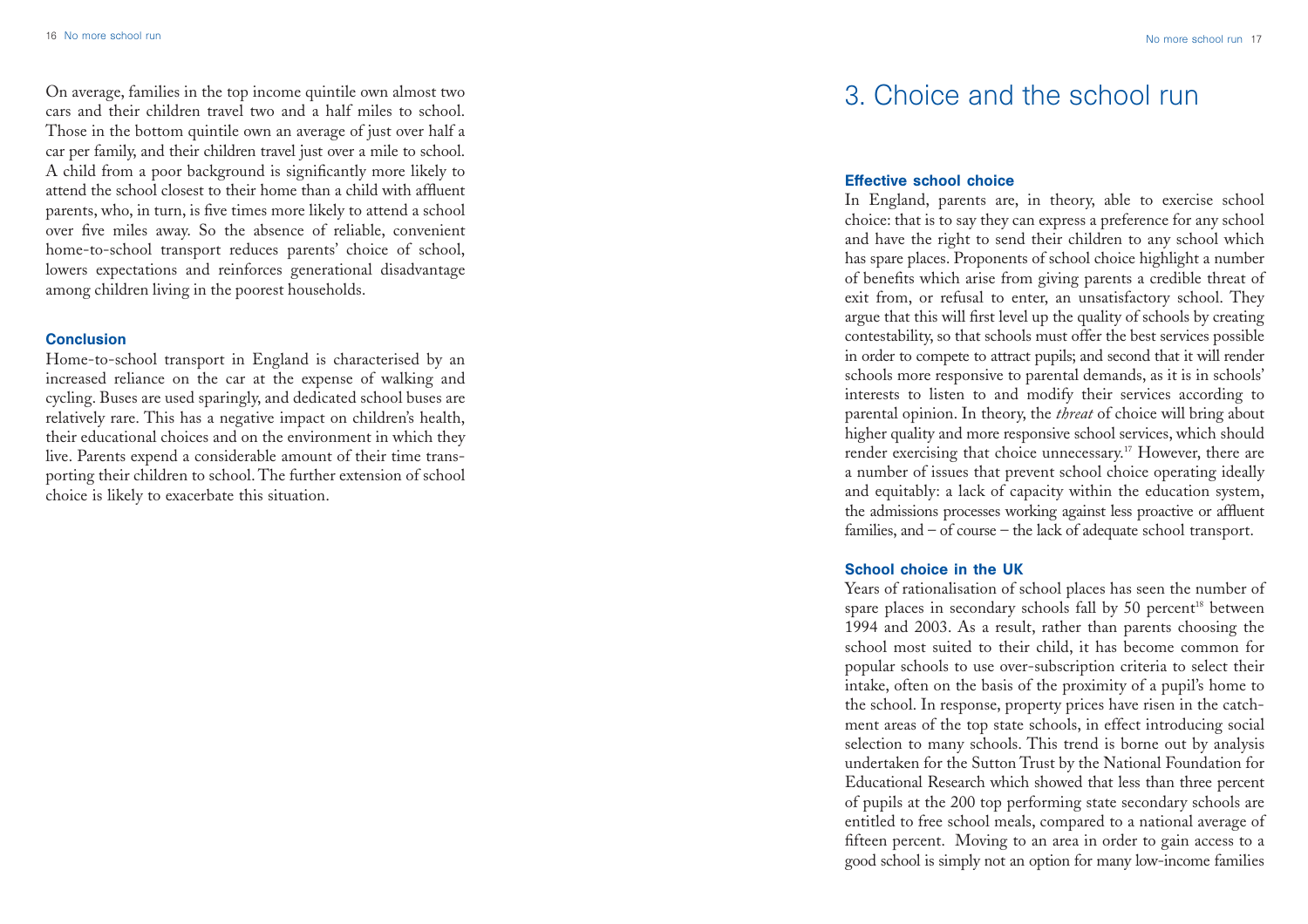On average, families in the top income quintile own almost two cars and their children travel two and a half miles to school. Those in the bottom quintile own an average of just over half a car per family, and their children travel just over a mile to school. A child from a poor background is significantly more likely to attend the school closest to their home than a child with affluent parents, who, in turn, is five times more likely to attend a school over five miles away. So the absence of reliable, convenient home-to-school transport reduces parents' choice of school, lowers expectations and reinforces generational disadvantage among children living in the poorest households.

#### **Conclusion**

Home-to-school transport in England is characterised by an increased reliance on the car at the expense of walking and cycling. Buses are used sparingly, and dedicated school buses are relatively rare. This has a negative impact on children's health, their educational choices and on the environment in which they live. Parents expend a considerable amount of their time transporting their children to school. The further extension of school choice is likely to exacerbate this situation.

# 3. Choice and the school run

## Effective school choice

In England, parents are, in theory, able to exercise school choice: that is to say they can express a preference for any school and have the right to send their children to any school which has spare places. Proponents of school choice highlight a number of benefits which arise from giving parents a credible threat of exit from, or refusal to enter, an unsatisfactory school. They argue that this will first level up the quality of schools by creating contestability, so that schools must offer the best services possible in order to compete to attract pupils; and second that it will render schools more responsive to parental demands, as it is in schools' interests to listen to and modify their services according to parental opinion. In theory, the *threat* of choice will bring about higher quality and more responsive school services, which should render exercising that choice unnecessary.<sup>17</sup> However, there are a number of issues that prevent school choice operating ideally and equitably: a lack of capacity within the education system, the admissions processes working against less proactive or affluent families, and – of course – the lack of adequate school transport.

### School choice in the UK

Years of rationalisation of school places has seen the number of spare places in secondary schools fall by 50 percent<sup>18</sup> between 1994 and 2003. As a result, rather than parents choosing the school most suited to their child, it has become common for popular schools to use over-subscription criteria to select their intake, often on the basis of the proximity of a pupil's home to the school. In response, property prices have risen in the catchment areas of the top state schools, in effect introducing social selection to many schools. This trend is borne out by analysis undertaken for the Sutton Trust by the National Foundation for Educational Research which showed that less than three percent of pupils at the 200 top performing state secondary schools are entitled to free school meals, compared to a national average of fifteen percent. Moving to an area in order to gain access to a good school is simply not an option for many low-income families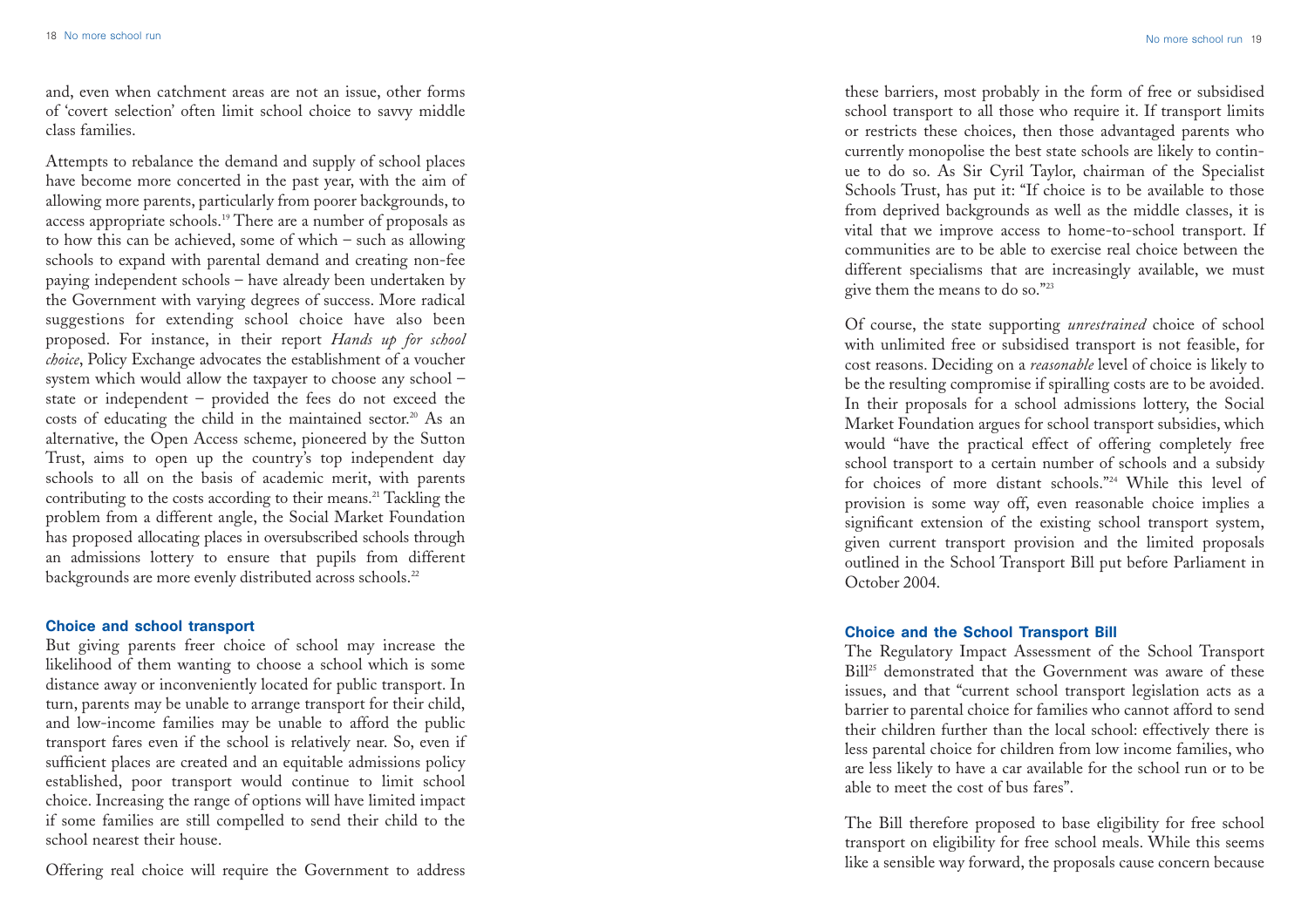and, even when catchment areas are not an issue, other forms of 'covert selection' often limit school choice to savvy middle class families.

Attempts to rebalance the demand and supply of school places have become more concerted in the past year, with the aim of allowing more parents, particularly from poorer backgrounds, to access appropriate schools.19 There are a number of proposals as to how this can be achieved, some of which – such as allowing schools to expand with parental demand and creating non-fee paying independent schools – have already been undertaken by the Government with varying degrees of success. More radical suggestions for extending school choice have also been proposed. For instance, in their report *Hands up for school choice*, Policy Exchange advocates the establishment of a voucher system which would allow the taxpayer to choose any school – state or independent – provided the fees do not exceed the costs of educating the child in the maintained sector.<sup>20</sup> As an alternative, the Open Access scheme, <sup>p</sup>ioneered by the Sutton Trust, aims to open up the country's top independent day schools to all on the basis of academic merit, with parents contributing to the costs according to their means.<sup>21</sup> Tackling the problem from a different angle, the Social Market Foundation has proposed allocating places in oversubscribed schools through an admissions lottery to ensure that pupils from different backgrounds are more evenly distributed across schools.<sup>22</sup>

#### Choice and school transport

But giving parents freer choice of school may increase the likelihood of them wanting to choose a school which is some distance away or inconveniently located for public transport. In turn, parents may be unable to arrange transport for their child, and low-income families may be unable to afford the public transport fares even if the school is relatively near. So, even if sufficient places are created and an equitable admissions policy established, poor transport would continue to limit school choice. Increasing the range of options will have limited impact if some families are still compelled to send their child to the school nearest their house.

Offering real choice will require the Government to address

these barriers, most probably in the form of free or subsidised school transport to all those who require it. If transport limits or restricts these choices, then those advantaged parents who currently monopolise the best state schools are likely to continue to do so. As Sir Cyril Taylor, chairman of the Specialist Schools Trust, has put it: "If choice is to be available to those from deprived backgrounds as well as the middle classes, it is vital that we improve access to home-to-school transport. If communities are to be able to exercise real choice between the different specialisms that are increasingly available, we must give them the means to do so."23

Of course, the state supporting *unrestrained* choice of school with unlimited free or subsidised transport is not feasible, for cost reasons. Deciding on a *reasonable* level of choice is likely to be the resulting compromise if spiralling costs are to be avoided. In their proposals for a school admissions lottery, the Social Market Foundation argues for school transport subsidies, which would "have the practical effect of offering completely free school transport to a certain number of schools and a subsidy for choices of more distant schools."24 While this level of provision is some way off, even reasonable choice implies a significant extension of the existing school transport system, given current transport provision and the limited proposals outlined in the School Transport Bill put before Parliament in October 2004.

#### Choice and the School Transport Bill

The Regulatory Impact Assessment of the School Transport Bill<sup>25</sup> demonstrated that the Government was aware of these issues, and that "current school transport legislation acts as a barrier to parental choice for families who cannot afford to send their children further than the local school: effectively there is less parental choice for children from low income families, who are less likely to have a car available for the school run or to be able to meet the cost of bus fares".

The Bill therefore proposed to base eligibility for free school transport on eligibility for free school meals. While this seems like a sensible way forward, the proposals cause concern because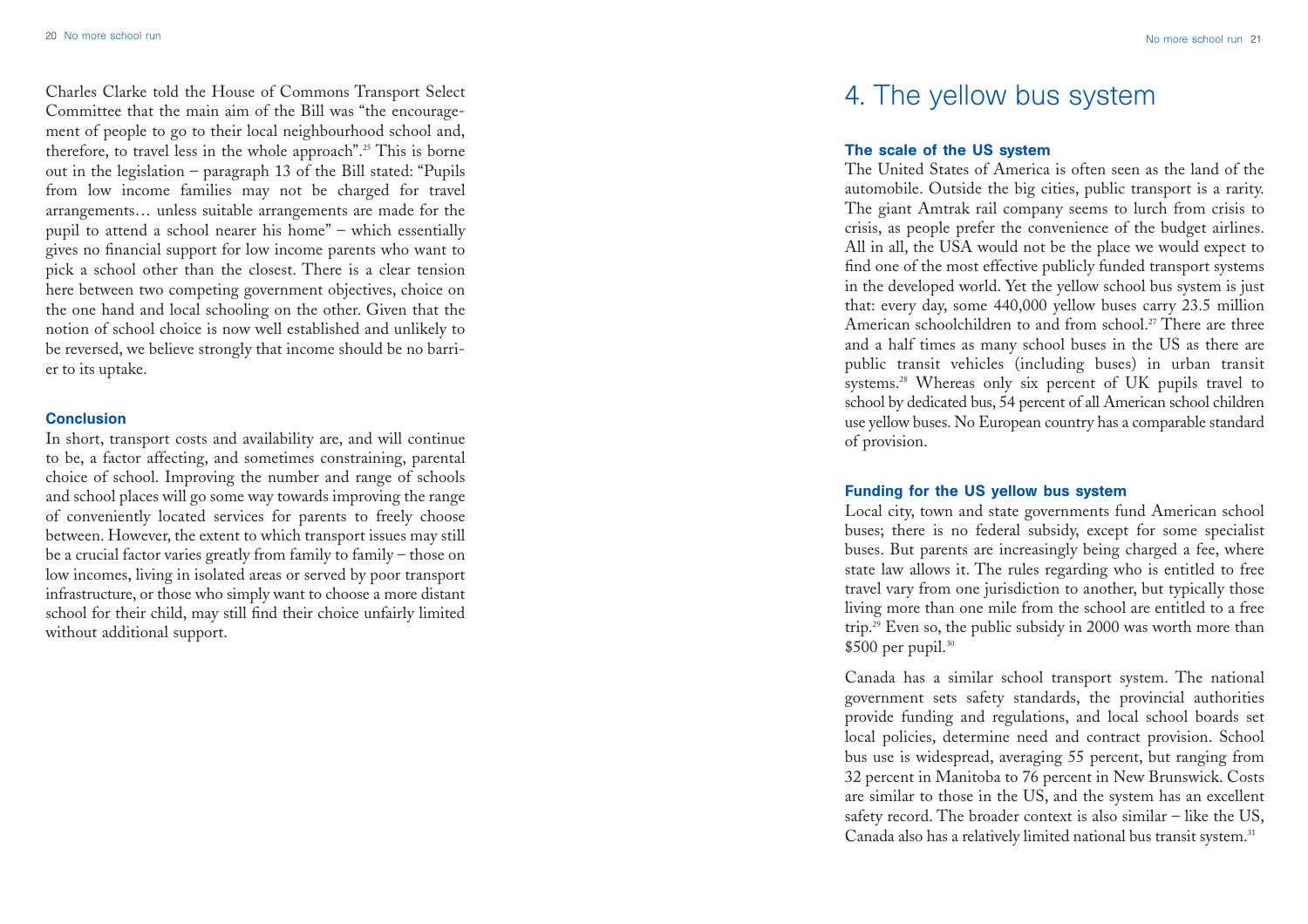No more school run 21

Charles Clarke told the House of Commons Transport Select Committee that the main aim of the Bill was "the encouragement of people to go to their local neighbourhood school and, therefore, to travel less in the whole approach".25 This is borne out in the legislation – paragraph 13 of the Bill stated: "Pupils from low income families may not be charged for travel arrangements… unless suitable arrangements are made for the pupil to attend a school nearer his home" – which essentially gives no financial support for low income parents who want to <sup>p</sup>ick a school other than the closest. There is a clear tension here between two competing government objectives, choice on the one hand and local schooling on the other. Given that the notion of school choice is now well established and unlikely to be reversed, we believe strongly that income should be no barrier to its uptake.

## **Conclusion**

In short, transport costs and availability are, and will continue to be, a factor affecting, and sometimes constraining, parental choice of school. Improving the number and range of schools and school places will go some way towards improving the range of conveniently located services for parents to freely choose between. However, the extent to which transport issues may still be a crucial factor varies greatly from family to family – those on low incomes, living in isolated areas or served by poor transport infrastructure, or those who simply want to choose a more distant school for their child, may still find their choice unfairly limited without additional support.

# 4. The yellow bus system

# The scale of the US system

The United States of America is often seen as the land of the automobile. Outside the big cities, public transport is a rarity. The giant Amtrak rail company seems to lurch from crisis to crisis, as people prefer the convenience of the budget airlines. All in all, the USA would not be the place we would expect to find one of the most effective publicly funded transport systems in the developed world. Yet the yellow school bus system is just that: every day, some 440,000 yellow buses carry 23.5 million American schoolchildren to and from school.<sup>27</sup> There are three and a half times as many school buses in the US as there are public transit vehicles (including buses) in urban transit systems.<sup>28</sup> Whereas only six percent of UK pupils travel to school by dedicated bus, 54 percent of all American school children use yellow buses. No European country has a comparable standard of provision.

# Funding for the US yellow bus system

Local city, town and state governments fund American school buses; there is no federal subsidy, except for some specialist buses. But parents are increasingly being charged a fee, where state law allows it. The rules regarding who is entitled to free travel vary from one jurisdiction to another, but typically those living more than one mile from the school are entitled to a free trip.29 Even so, the public subsidy in 2000 was worth more than  $$500$  per pupil.<sup>30</sup>

Canada has a similar school transport system. The national government sets safety standards, the provincial authorities provide funding and regulations, and local school boards set local policies, determine need and contract provision. School bus use is widespread, averaging 55 percent, but ranging from 32 percent in Manitoba to 76 percent in New Brunswick. Costs are similar to those in the US, and the system has an excellent safety record. The broader context is also similar – like the US, Canada also has a relatively limited national bus transit system.<sup>31</sup>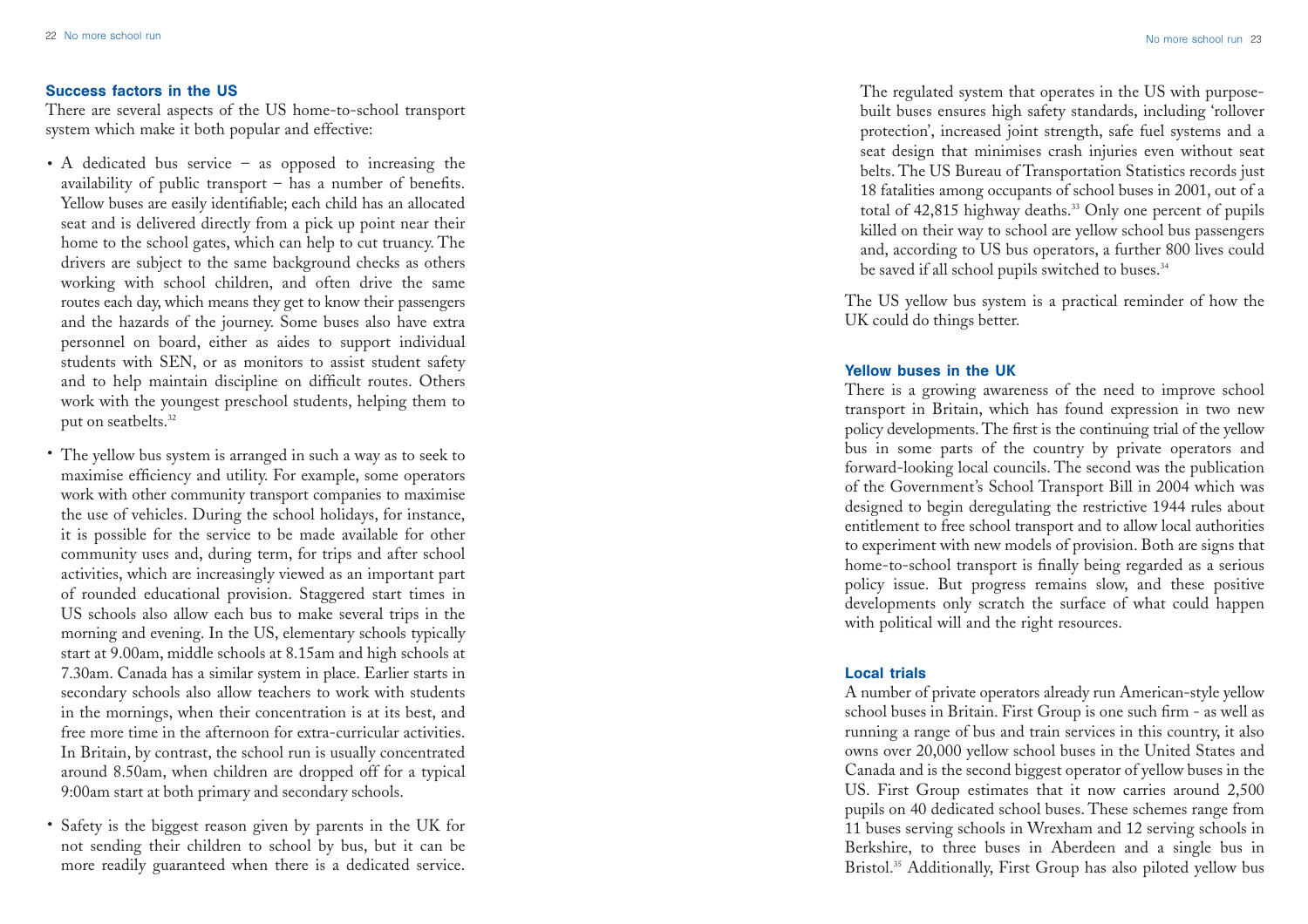#### Success factors in the US

There are several aspects of the US home-to-school transport system which make it both popular and effective:

- A dedicated bus service as opposed to increasing the availability of public transport – has a number of benefits. Yellow buses are easily identifiable; each child has an allocated seat and is delivered directly from a pick up point near their home to the school gates, which can help to cut truancy. The drivers are subject to the same background checks as others working with school children, and often drive the same routes each day, which means they get to know their passengers and the hazards of the journey. Some buses also have extra personnel on board, either as aides to support individual students with SEN, or as monitors to assist student safety and to help maintain discipline on difficult routes. Others work with the youngest preschool students, helping them to put on seatbelts.<sup>32</sup>
- The yellow bus system is arranged in such a way as to seek to maximise efficiency and utility. For example, some operators work with other community transport companies to maximise the use of vehicles. During the school holidays, for instance, it is possible for the service to be made available for other community uses and, during term, for trips and after school activities, which are increasingly viewed as an important part of rounded educational provision. Staggered start times in US schools also allow each bus to make several trips in the morning and evening. In the US, elementary schools typically start at 9.00am, middle schools at 8.15am and high schools at 7.30am. Canada has a similar system in place. Earlier starts in secondary schools also allow teachers to work with students in the mornings, when their concentration is at its best, and free more time in the afternoon for extra-curricular activities. In Britain, by contrast, the school run is usually concentrated around 8.50am, when children are dropped off for a typical 9:00am start at both primary and secondary schools.
- Safety is the biggest reason given by parents in the UK for not sending their children to school by bus, but it can be more readily guaranteed when there is a dedicated service.

The regulated system that operates in the US with purposebuilt buses ensures high safety standards, including 'rollover protection', increased joint strength, safe fuel systems and a seat design that minimises crash injuries even without seat belts. The US Bureau of Transportation Statistics records just 18 fatalities among occupants of school buses in 2001, out of a total of 42,815 highway deaths.<sup>33</sup> Only one percent of pupils killed on their way to school are yellow school bus passengers and, according to US bus operators, a further 800 lives could be saved if all school pupils switched to buses.<sup>34</sup>

The US yellow bus system is a practical reminder of how the UK could do things better.

#### Yellow buses in the UK

There is a growing awareness of the need to improve school transport in Britain, which has found expression in two new policy developments. The first is the continuing trial of the yellow bus in some parts of the country by private operators and forward-looking local councils. The second was the publication of the Government's School Transport Bill in 2004 which was designed to begin deregulating the restrictive 1944 rules about entitlement to free school transport and to allow local authorities to experiment with new models of provision. Both are signs that home-to-school transport is finally being regarded as a serious policy issue. But progress remains slow, and these positive developments only scratch the surface of what could happen with political will and the right resources.

## Local trials

A number of private operators already run American-style yellow school buses in Britain. First Group is one such firm - as well as running a range of bus and train services in this country, it also owns over 20,000 yellow school buses in the United States and Canada and is the second biggest operator of yellow buses in the US. First Group estimates that it now carries around 2,500 pupils on 40 dedicated school buses. These schemes range from 11 buses serving schools in Wrexham and 12 serving schools in Berkshire, to three buses in Aberdeen and a single bus in Bristol.<sup>35</sup> Additionally, First Group has also piloted yellow bus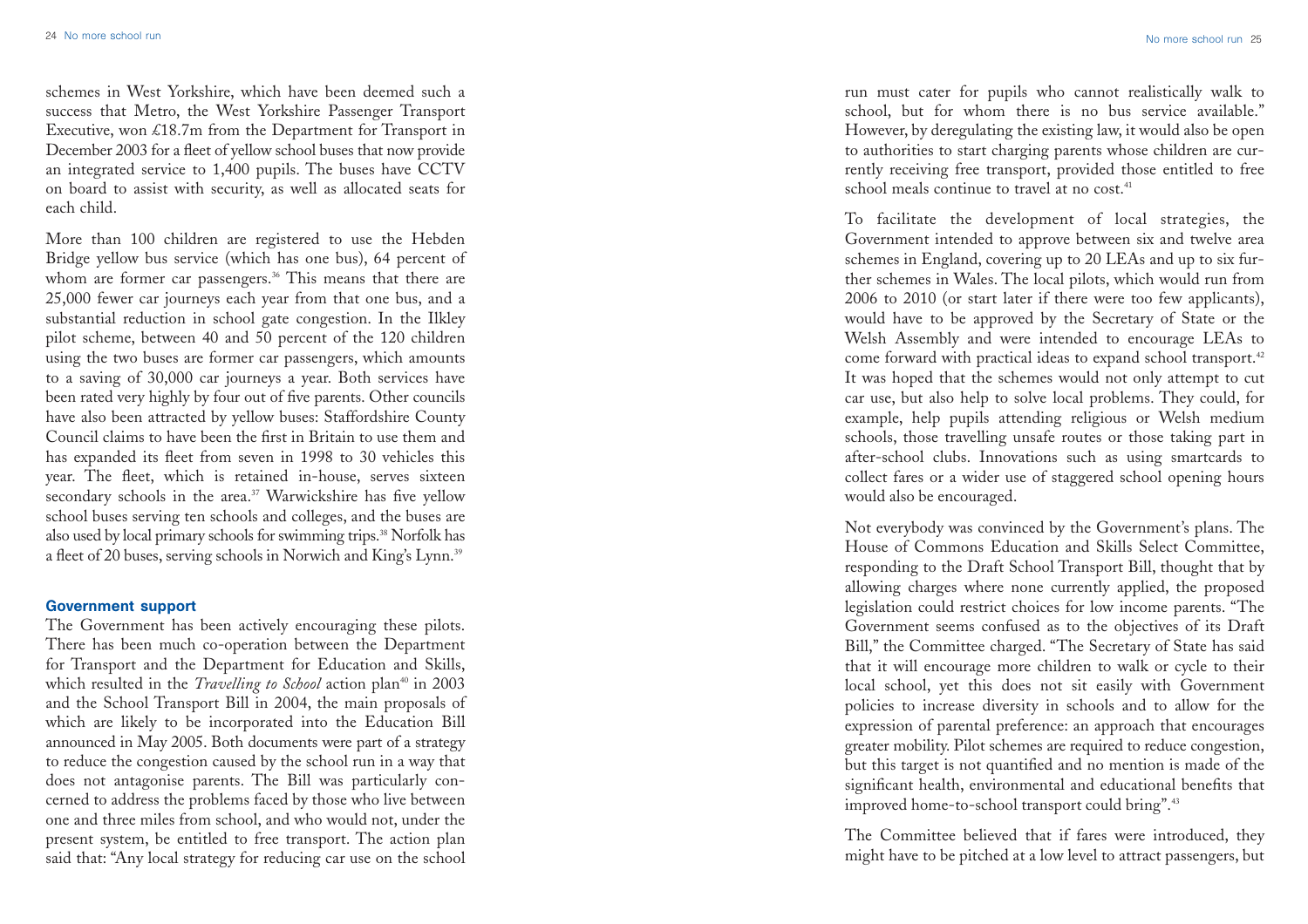schemes in West Yorkshire, which have been deemed such a success that Metro, the West Yorkshire Passenger Transport Executive, won £18.7m from the Department for Transport in December 2003 for a fleet of yellow school buses that now provide an integrated service to 1,400 pupils. The buses have CCTV on board to assist with security, as well as allocated seats for each child.

More than 100 children are registered to use the Hebden Bridge yellow bus service (which has one bus), 64 percent of whom are former car passengers.<sup>36</sup> This means that there are 25,000 fewer car journeys each year from that one bus, and a substantial reduction in school gate congestion. In the Ilkley pilot scheme, between 40 and 50 percent of the 120 children using the two buses are former car passengers, which amounts to a saving of 30,000 car journeys a year. Both services have been rated very highly by four out of five parents. Other councils have also been attracted by yellow buses: Staffordshire County Council claims to have been the first in Britain to use them and has expanded its fleet from seven in 1998 to 30 vehicles this year. The fleet, which is retained in-house, serves sixteen secondary schools in the area.<sup>37</sup> Warwickshire has five yellow school buses serving ten schools and colleges, and the buses are also used by local primary schools for swimming trips.<sup>38</sup> Norfolk has a fleet of 20 buses, serving schools in Norwich and King's Lynn.39

#### Government support

The Government has been actively encouraging these pilots. There has been much co-operation between the Department for Transport and the Department for Education and Skills, which resulted in the *Travelling to School* action plan<sup>40</sup> in 2003 and the School Transport Bill in 2004, the main proposals of which are likely to be incorporated into the Education Bill announced in May 2005. Both documents were part of a strategy to reduce the congestion caused by the school run in a way that does not antagonise parents. The Bill was particularly concerned to address the problems faced by those who live between one and three miles from school, and who would not, under the present system, be entitled to free transport. The action plan said that: "Any local strategy for reducing car use on the school

run must cater for pupils who cannot realistically walk to school, but for whom there is no bus service available." However, by deregulating the existing law, it would also be open to authorities to start charging parents whose children are currently receiving free transport, provided those entitled to free school meals continue to travel at no cost.<sup>41</sup>

To facilitate the development of local strategies, the Government intended to approve between six and twelve area schemes in England, covering up to 20 LEAs and up to six further schemes in Wales. The local pilots, which would run from 2006 to 2010 (or start later if there were too few applicants), would have to be approved by the Secretary of State or the Welsh Assembly and were intended to encourage LEAs to come forward with practical ideas to expand school transport.<sup>42</sup> It was hoped that the schemes would not only attempt to cut car use, but also help to solve local problems. They could, for example, help pupils attending religious or Welsh medium schools, those travelling unsafe routes or those taking part in after-school clubs. Innovations such as using smartcards to collect fares or a wider use of staggered school opening hours would also be encouraged.

Not everybody was convinced by the Government's plans. The House of Commons Education and Skills Select Committee, responding to the Draft School Transport Bill, thought that by allowing charges where none currently applied, the proposed legislation could restrict choices for low income parents. "The Government seems confused as to the objectives of its Draft Bill," the Committee charged. "The Secretary of State has said that it will encourage more children to walk or cycle to their local school, yet this does not sit easily with Government policies to increase diversity in schools and to allow for the expression of parental preference: an approach that encourages greater mobility. Pilot schemes are required to reduce congestion, but this target is not quantified and no mention is made of the significant health, environmental and educational benefits that improved home-to-school transport could bring".43

The Committee believed that if fares were introduced, they might have to be pitched at a low level to attract passengers, but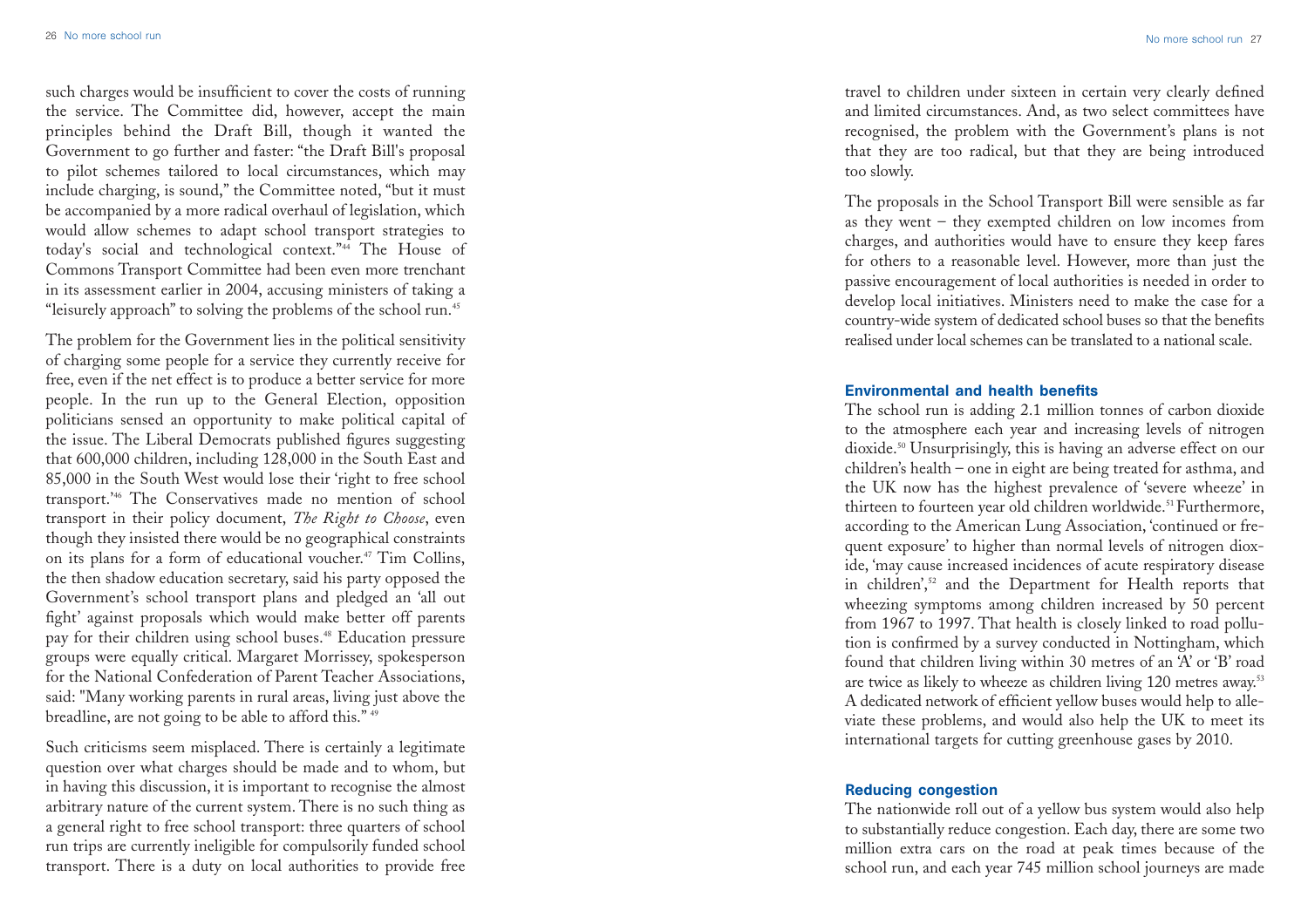such charges would be insufficient to cover the costs of running the service. The Committee did, however, accept the main principles behind the Draft Bill, though it wanted the Government to go further and faster: "the Draft Bill's proposal to pilot schemes tailored to local circumstances, which may include charging, is sound," the Committee noted, "but it must be accompanied by a more radical overhaul of legislation, which would allow schemes to adapt school transport strategies to today's social and technological context."44 The House of Commons Transport Committee had been even more trenchant in its assessment earlier in 2004, accusing ministers of taking a "leisurely approach" to solving the problems of the school run.45

The problem for the Government lies in the political sensitivity of charging some people for a service they currently receive for free, even if the net effect is to produce a better service for more people. In the run up to the General Election, opposition politicians sensed an opportunity to make political capital of the issue. The Liberal Democrats published figures suggesting that 600,000 children, including 128,000 in the South East and 85,000 in the South West would lose their 'right to free school transport.'46 The Conservatives made no mention of school transport in their policy document, *The Right to Choose*, even though they insisted there would be no geographical constraints on its plans for a form of educational voucher.47 Tim Collins, the then shadow education secretary, said his party opposed the Government's school transport plans and pledged an 'all out fight' against proposals which would make better off parents pay for their children using school buses.<sup>48</sup> Education pressure groups were equally critical. Margaret Morrissey, spokesperson for the National Confederation of Parent Teacher Associations, said: "Many working parents in rural areas, living just above the breadline, are not going to be able to afford this." <sup>49</sup>

Such criticisms seem misplaced. There is certainly a legitimate question over what charges should be made and to whom, but in having this discussion, it is important to recognise the almost arbitrary nature of the current system. There is no such thing as a general right to free school transport: three quarters of school run trips are currently ineligible for compulsorily funded school transport. There is a duty on local authorities to provide free

travel to children under sixteen in certain very clearly defined and limited circumstances. And, as two select committees have recognised, the problem with the Government's plans is not that they are too radical, but that they are being introduced too slowly.

The proposals in the School Transport Bill were sensible as far as they went – they exempted children on low incomes from charges, and authorities would have to ensure they keep fares for others to a reasonable level. However, more than just the passive encouragement of local authorities is needed in order to develop local initiatives. Ministers need to make the case for a country-wide system of dedicated school buses so that the benefits realised under local schemes can be translated to a national scale.

### Environmental and health benefits

The school run is adding 2.1 million tonnes of carbon dioxide to the atmosphere each year and increasing levels of nitrogen dioxide.<sup>50</sup> Unsurprisingly, this is having an adverse effect on our children's health – one in eight are being treated for asthma, and the UK now has the highest prevalence of 'severe wheeze' in thirteen to fourteen year old children worldwide.<sup>51</sup> Furthermore, according to the American Lung Association, 'continued or frequent exposure' to higher than normal levels of nitrogen dioxide, 'may cause increased incidences of acute respiratory disease in children',52 and the Department for Health reports that wheezing symptoms among children increased by 50 percent from 1967 to 1997. That health is closely linked to road pollution is confirmed by a survey conducted in Nottingham, which found that children living within 30 metres of an 'A' or 'B' road are twice as likely to wheeze as children living 120 metres away.53 A dedicated network of efficient yellow buses would help to alleviate these problems, and would also help the UK to meet its international targets for cutting greenhouse gases by 2010.

## Reducing congestion

The nationwide roll out of a yellow bus system would also help to substantially reduce congestion. Each day, there are some two million extra cars on the road at peak times because of the school run, and each year 745 million school journeys are made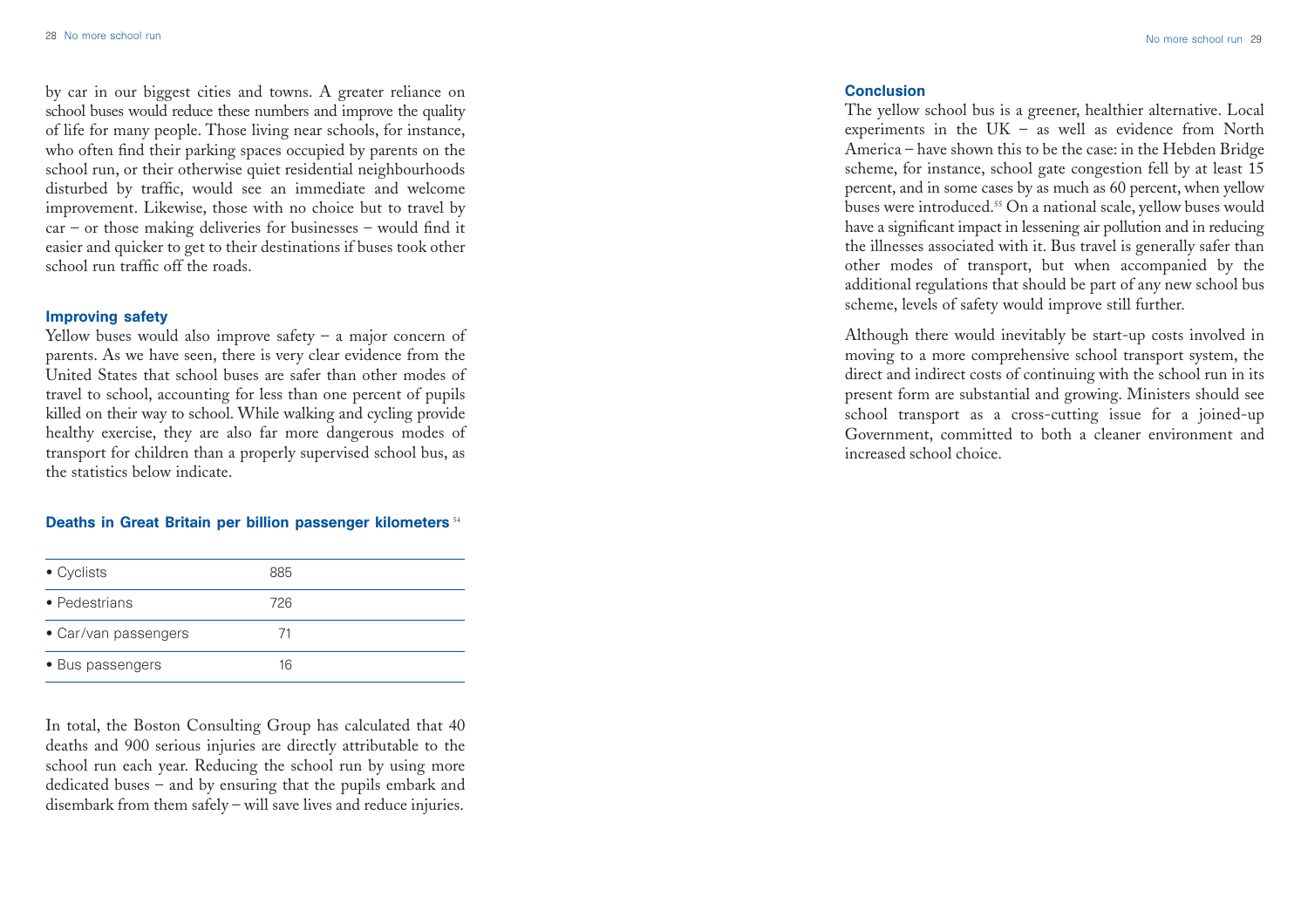by car in our biggest cities and towns. A greater reliance on school buses would reduce these numbers and improve the quality of life for many people. Those living near schools, for instance, who often find their parking spaces occupied by parents on the school run, or their otherwise quiet residential neighbourhoods disturbed by traffic, would see an immediate and welcome improvement. Likewise, those with no choice but to travel by car – or those making deliveries for businesses – would find it easier and quicker to get to their destinations if buses took other school run traffic off the roads.

#### Improving safety

Yellow buses would also improve safety – a major concern of parents. As we have seen, there is very clear evidence from the United States that school buses are safer than other modes of travel to school, accounting for less than one percent of pupils killed on their way to school. While walking and cycling provide healthy exercise, they are also far more dangerous modes of transport for children than a properly supervised school bus, as the statistics below indicate.

## Deaths in Great Britain per billion passenger kilometers <sup>54</sup>

| $\bullet$ Cyclists   | 885 |  |
|----------------------|-----|--|
| • Pedestrians        | 726 |  |
| • Car/van passengers | 71  |  |
| • Bus passengers     | 16  |  |

In total, the Boston Consulting Group has calculated that 40 deaths and 900 serious injuries are directly attributable to the school run each year. Reducing the school run by using more dedicated buses – and by ensuring that the pupils embark and disembark from them safely – will save lives and reduce injuries.

## **Conclusion**

The yellow school bus is a greener, healthier alternative. Local experiments in the UK – as well as evidence from North America – have shown this to be the case: in the Hebden Bridge scheme, for instance, school gate congestion fell by at least 15 percent, and in some cases by as much as 60 percent, when yellow buses were introduced.55 On a national scale, yellow buses would have a significant impact in lessening air pollution and in reducing the illnesses associated with it. Bus travel is generally safer than other modes of transport, but when accompanied by the additional regulations that should be part of any new school bus scheme, levels of safety would improve still further.

Although there would inevitably be start-up costs involved in moving to a more comprehensive school transport system, the direct and indirect costs of continuing with the school run in its present form are substantial and growing. Ministers should see school transport as a cross-cutting issue for a joined-up Government, committed to both a cleaner environment and increased school choice.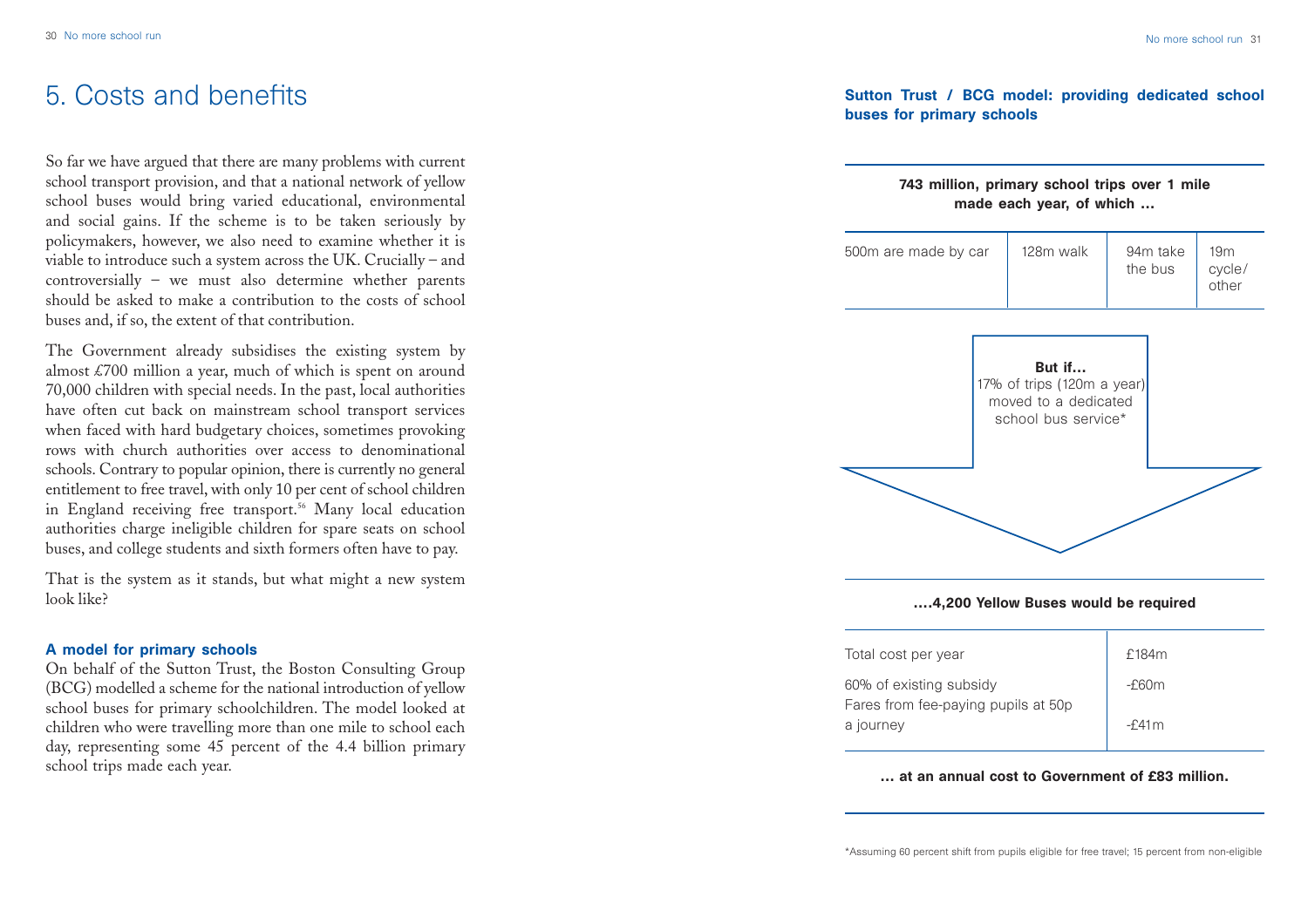# 5. Costs and benefits

So far we have argued that there are many problems with current school transport provision, and that a national network of yellow school buses would bring varied educational, environmental and social gains. If the scheme is to be taken seriously by policymakers, however, we also need to examine whether it is viable to introduce such a system across the UK. Crucially – and controversially – we must also determine whether parents should be asked to make a contribution to the costs of school buses and, if so, the extent of that contribution.

The Government already subsidises the existing system by almost £700 million a year, much of which is spent on around 70,000 children with special needs. In the past, local authorities have often cut back on mainstream school transport services when faced with hard budgetary choices, sometimes provoking rows with church authorities over access to denominational schools. Contrary to popular opinion, there is currently no general entitlement to free travel, with only 10 per cent of school children in England receiving free transport.<sup>56</sup> Many local education authorities charge ineligible children for spare seats on school buses, and college students and sixth formers often have to pay.

That is the system as it stands, but what might a new system look like?

#### A model for primary schools

On behalf of the Sutton Trust, the Boston Consulting Group (BCG) modelled a scheme for the national introduction of yellow school buses for primary schoolchildren. The model looked at children who were travelling more than one mile to school each day, representing some 45 percent of the 4.4 billion primary school trips made each year.

# Sutton Trust / BCG model: providing dedicated school buses for primary schools



#### … at an annual cost to Government of £83 million.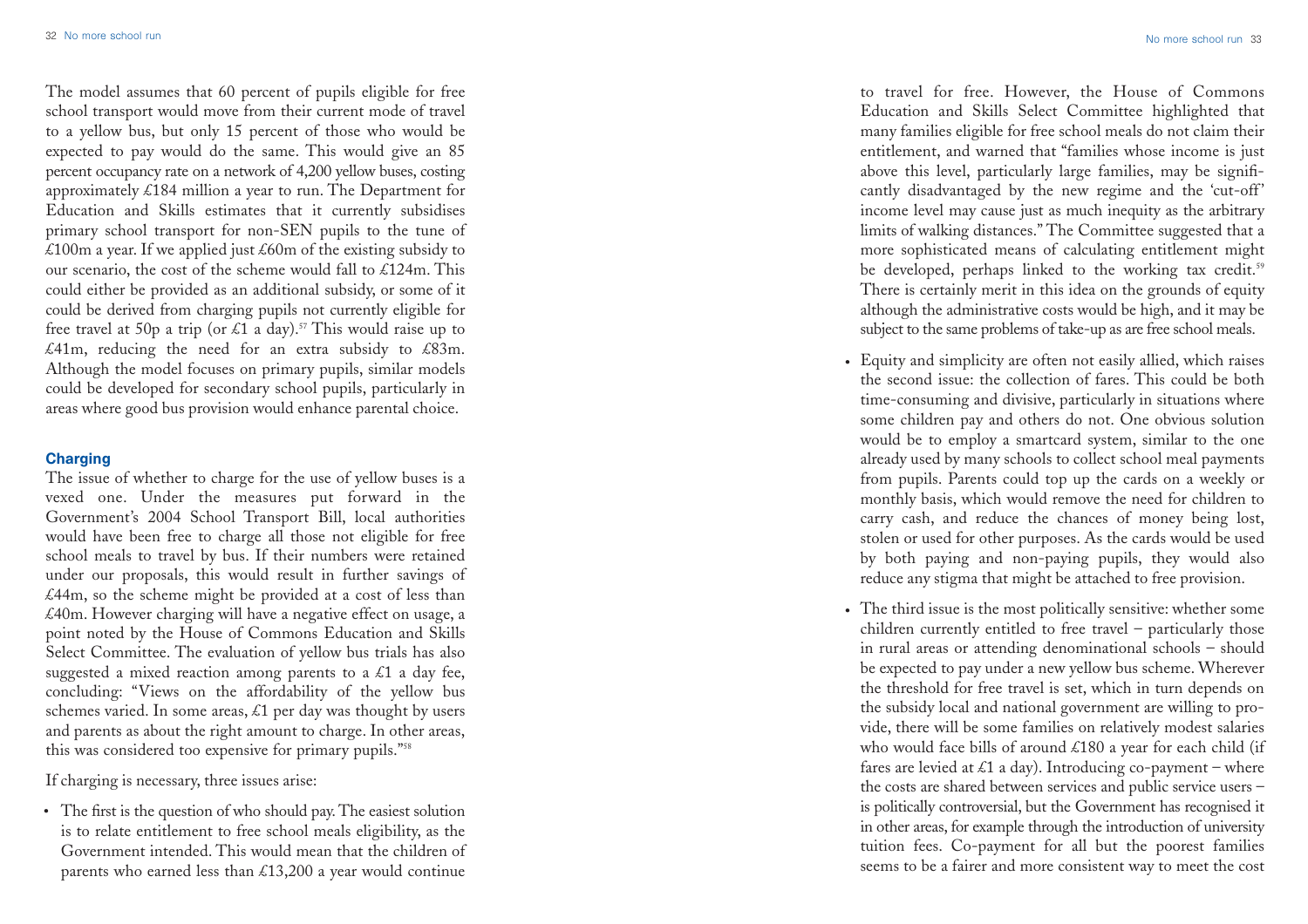The model assumes that 60 percent of pupils eligible for free school transport would move from their current mode of travel to a yellow bus, but only 15 percent of those who would be expected to pay would do the same. This would give an 85 percent occupancy rate on a network of 4,200 yellow buses, costing approximately £184 million a year to run. The Department for Education and Skills estimates that it currently subsidises primary school transport for non-SEN pupils to the tune of £100m a year. If we applied just  $\text{\pounds}60m$  of the existing subsidy to our scenario, the cost of the scheme would fall to  $\&124$ m. This could either be provided as an additional subsidy, or some of it could be derived from charging pupils not currently eligible for free travel at 50p a trip (or £1 a day).<sup>57</sup> This would raise up to £41m, reducing the need for an extra subsidy to £83m. Although the model focuses on primary pupils, similar models could be developed for secondary school pupils, particularly in areas where good bus provision would enhance parental choice.

#### **Charging**

The issue of whether to charge for the use of yellow buses is a vexed one. Under the measures put forward in the Government's 2004 School Transport Bill, local authorities would have been free to charge all those not eligible for free school meals to travel by bus. If their numbers were retained under our proposals, this would result in further savings of £44m, so the scheme might be provided at a cost of less than £40m. However charging will have a negative effect on usage, <sup>a</sup> point noted by the House of Commons Education and Skills Select Committee. The evaluation of yellow bus trials has also suggested a mixed reaction among parents to a  $\&$ 1 a day fee, concluding: "Views on the affordability of the yellow bus schemes varied. In some areas,  $\&$ 1 per day was thought by users and parents as about the right amount to charge. In other areas, this was considered too expensive for primary pupils."58

If charging is necessary, three issues arise:

The first is the question of who should pay. The easiest solution •is to relate entitlement to free school meals eligibility, as the Government intended. This would mean that the children of parents who earned less than £13,200 a year would continue

to travel for free. However, the House of Commons Education and Skills Select Committee highlighted that many families eligible for free school meals do not claim their entitlement, and warned that "families whose income is just above this level, particularly large families, may be significantly disadvantaged by the new regime and the 'cut-off' income level may cause just as much inequity as the arbitrary limits of walking distances." The Committee suggested that a more sophisticated means of calculating entitlement might be developed, perhaps linked to the working tax credit.<sup>59</sup> There is certainly merit in this idea on the grounds of equity although the administrative costs would be high, and it may be subject to the same problems of take-up as are free school meals.

- Equity and simplicity are often not easily allied, which raises the second issue: the collection of fares. This could be both time-consuming and divisive, particularly in situations where some children pay and others do not. One obvious solution would be to employ a smartcard system, similar to the one already used by many schools to collect school meal payments from pupils. Parents could top up the cards on a weekly or monthly basis, which would remove the need for children to carry cash, and reduce the chances of money being lost, stolen or used for other purposes. As the cards would be used by both paying and non-paying pupils, they would also reduce any stigma that might be attached to free provision.
- The third issue is the most politically sensitive: whether some children currently entitled to free travel – particularly those in rural areas or attending denominational schools – should be expected to pay under a new yellow bus scheme. Wherever the threshold for free travel is set, which in turn depends on the subsidy local and national government are willing to provide, there will be some families on relatively modest salaries who would face bills of around £180 a year for each child (if fares are levied at £1 a day). Introducing co-payment – where the costs are shared between services and public service users – is politically controversial, but the Government has recognised it in other areas, for example through the introduction of university tuition fees. Co-payment for all but the poorest families seems to be a fairer and more consistent way to meet the cost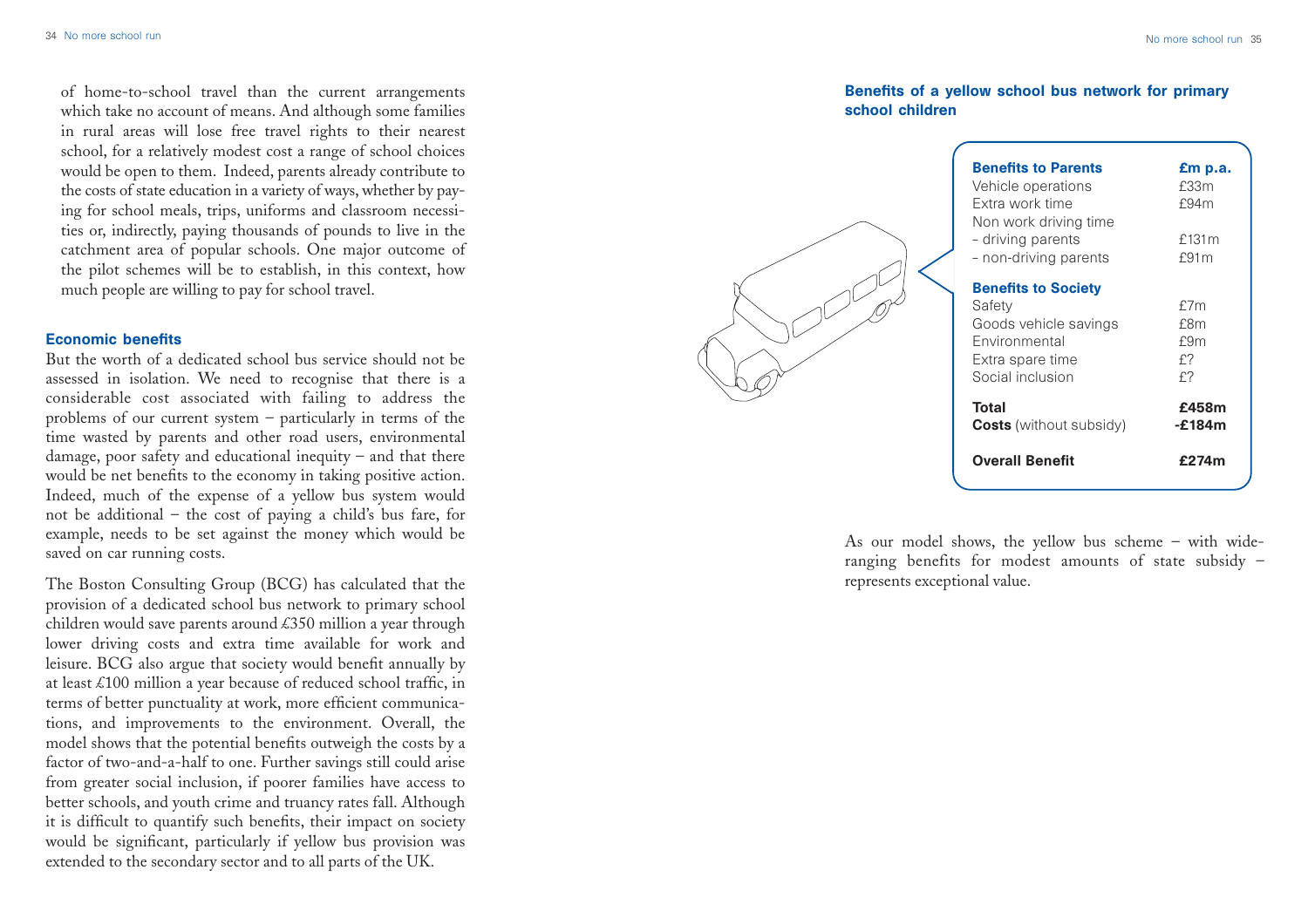of home-to-school travel than the current arrangements which take no account of means. And although some families in rural areas will lose free travel rights to their nearest school, for a relatively modest cost a range of school choices would be open to them. Indeed, parents already contribute to the costs of state education in a variety of ways, whether by paying for school meals, trips, uniforms and classroom necessities or, indirectly, paying thousands of pounds to live in the catchment area of popular schools. One major outcome of the pilot schemes will be to establish, in this context, how much people are willing to pay for school travel.

#### Economic benefits

But the worth of a dedicated school bus service should not be assessed in isolation. We need to recognise that there is a considerable cost associated with failing to address the problems of our current system – particularly in terms of the time wasted by parents and other road users, environmental damage, poor safety and educational inequity – and that there would be net benefits to the economy in taking positive action. Indeed, much of the expense of a yellow bus system would not be additional – the cost of paying a child's bus fare, for example, needs to be set against the money which would be saved on car running costs.

The Boston Consulting Group (BCG) has calculated that the provision of a dedicated school bus network to primary school children would save parents around £350 million a year through lower driving costs and extra time available for work and leisure. BCG also argue that society would benefit annually by at least £100 million a year because of reduced school traffic, in terms of better punctuality at work, more efficient communications, and improvements to the environment. Overall, the model shows that the potential benefits outweigh the costs by a factor of two-and-a-half to one. Further savings still could arise from greater social inclusion, if poorer families have access to better schools, and youth crime and truancy rates fall. Although it is difficult to quantify such benefits, their impact on society would be significant, particularly if yellow bus provision was extended to the secondary sector and to all parts of the UK.

# Benefits of a yellow school bus network for primary school children

| <b>Benefits to Parents</b><br>Vehicle operations<br>Extra work time<br>Non work driving time<br>- driving parents<br>- non-driving parents | £m p.a.<br>£33m<br>£94m<br>£131 $m$<br>£91m |
|--------------------------------------------------------------------------------------------------------------------------------------------|---------------------------------------------|
| <b>Benefits to Society</b><br>Safety<br>Goods vehicle savings<br>Environmental<br>Extra spare time<br>Social inclusion                     | £7 $m$<br>£8m<br>£9m<br>£?<br>£?            |
| <b>Total</b><br><b>Costs</b> (without subsidy)                                                                                             | £458m<br>-£184m                             |
| <b>Overall Benefit</b>                                                                                                                     | £274m                                       |

As our model shows, the yellow bus scheme – with wideranging benefits for modest amounts of state subsidy – represents exceptional value.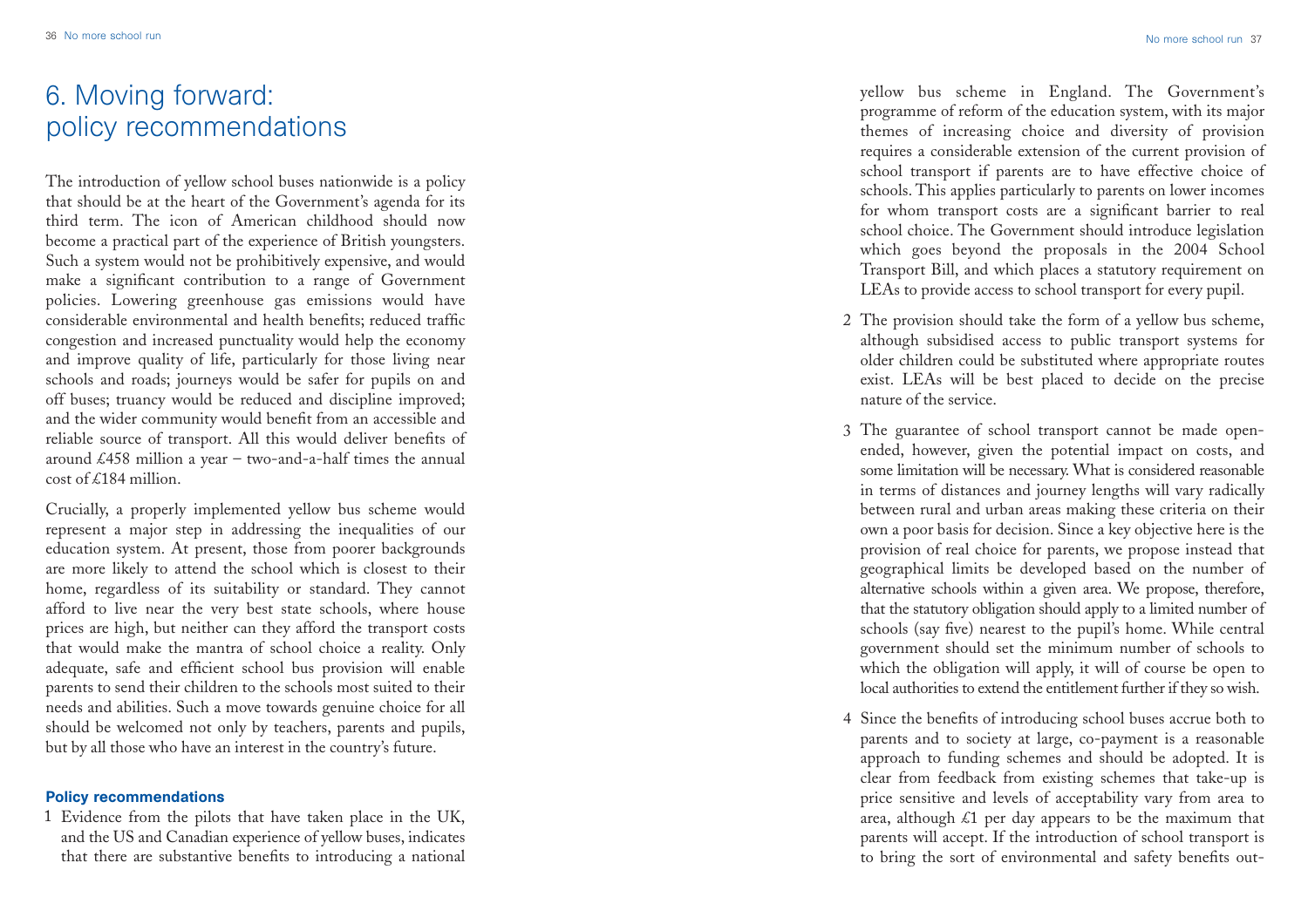# 6. Moving forward: policy recommendations

The introduction of yellow school buses nationwide is a policy that should be at the heart of the Government's agenda for its third term. The icon of American childhood should now become a practical part of the experience of British youngsters. Such a system would not be prohibitively expensive, and would make a significant contribution to a range of Government policies. Lowering greenhouse gas emissions would have considerable environmental and health benefits; reduced traffic congestion and increased punctuality would help the economy and improve quality of life, particularly for those living near schools and roads; journeys would be safer for pupils on and off buses; truancy would be reduced and discipline improved; and the wider community would benefit from an accessible and reliable source of transport. All this would deliver benefits of around  $\text{\pounds}458$  million a year – two-and-a-half times the annual cost of £184 million. 36 No more subset and<br>
6. Moving forward:<br>
policy recommendations<br>
The introduction of yellow school buses nationwide is a policy<br>
that should be at the heart of the Government's agenda for its<br>
hirdi term. The icon of Ame

Crucially, a properly implemented yellow bus scheme would represent a major step in addressing the inequalities of our education system. At present, those from poorer backgrounds are more likely to attend the school which is closest to their home, regardless of its suitability or standard. They cannot afford to live near the very best state schools, where house prices are high, but neither can they afford the transport costs that would make the mantra of school choice a reality. Only adequate, safe and efficient school bus provision will enable parents to send their children to the schools most suited to their needs and abilities. Such a move towards genuine choice for all should be welcomed not only by teachers, parents and pupils, but by all those who have an interest in the country's future.

#### Policy recommendations

Evidence from the pilots that have taken place in the UK, 1and the US and Canadian experience of yellow buses, indicates yellow bus scheme in England. The Government's programme of reform of the education system, with its major themes of increasing choice and diversity of provision requires a considerable extension of the current provision of school transport if parents are to have effective choice of schools. This applies particularly to parents on lower incomes for whom transport costs are a significant barrier to real school choice. The Government should introduce legislation which goes beyond the proposals in the 2004 School Transport Bill, and which places a statutory requirement on LEAs to provide access to school transport for every pupil.

- The provision should take the form of a yellow bus scheme, 2 although subsidised access to public transport systems for older children could be substituted where appropriate routes exist. LEAs will be best placed to decide on the precise nature of the service.
- The guarantee of school transport cannot be made open-3 ended, however, given the potential impact on costs, and some limitation will be necessary. What is considered reasonable in terms of distances and journey lengths will vary radically between rural and urban areas making these criteria on their own a poor basis for decision. Since a key objective here is the provision of real choice for parents, we propose instead that geographical limits be developed based on the number of alternative schools within a given area. We propose, therefore, that the statutory obligation should apply to a limited number of schools (say five) nearest to the pupil's home. While central government should set the minimum number of schools to which the obligation will apply, it will of course be open to local authorities to extend the entitlement further if they so wish.
- Since the benefits of introducing school buses accrue both to 4 parents and to society at large, co-payment is a reasonable approach to funding schemes and should be adopted. It is clear from feedback from existing schemes that take-up is price sensitive and levels of acceptability vary from area to area, although  $\&$ 1 per day appears to be the maximum that parents will accept. If the introduction of school transport is to bring the sort of environmental and safety benefits out-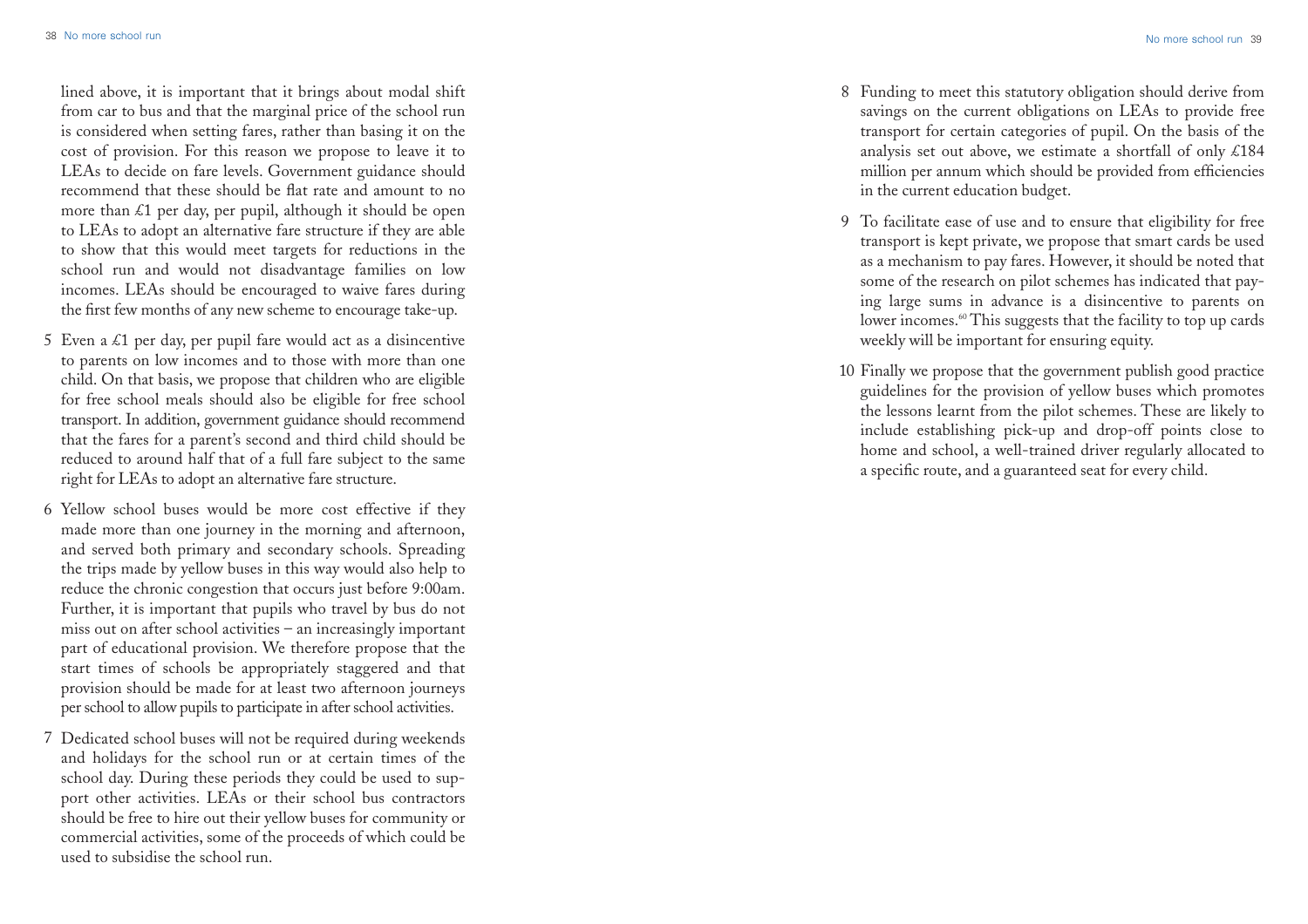lined above, it is important that it brings about modal shift from car to bus and that the marginal price of the school run is considered when setting fares, rather than basing it on the cost of provision. For this reason we propose to leave it to LEAs to decide on fare levels. Government guidance should recommend that these should be flat rate and amount to no more than  $\&$ 1 per day, per pupil, although it should be open to LEAs to adopt an alternative fare structure if they are able to show that this would meet targets for reductions in the school run and would not disadvantage families on low incomes. LEAs should be encouraged to waive fares during the first few months of any new scheme to encourage take-up.

- 5 Even a  $\&$ 1 per day, per pupil fare would act as a disincentive to parents on low incomes and to those with more than one child. On that basis, we propose that children who are eligible for free school meals should also be eligible for free school transport. In addition, government guidance should recommend that the fares for a parent's second and third child should be reduced to around half that of a full fare subject to the same right for LEAs to adopt an alternative fare structure.
- 6 Yellow school buses would be more cost effective if they made more than one journey in the morning and afternoon, and served both primary and secondary schools. Spreading the trips made by yellow buses in this way would also help to reduce the chronic congestion that occurs just before 9:00am. Further, it is important that pupils who travel by bus do not miss out on after school activities – an increasingly important part of educational provision. We therefore propose that the start times of schools be appropriately staggered and that provision should be made for at least two afternoon journeys per school to allow pupils to participate in after school activities.
- Dedicated school buses will not be required during weekends 7 and holidays for the school run or at certain times of the school day. During these periods they could be used to support other activities. LEAs or their school bus contractors should be free to hire out their yellow buses for community or commercial activities, some of the proceeds of which could be used to subsidise the school run.
- Funding to meet this statutory obligation should derive from 8 savings on the current obligations on LEAs to provide free transport for certain categories of pupil. On the basis of the analysis set out above, we estimate a shortfall of only £184 million per annum which should be provided from efficiencies in the current education budget.
- To facilitate ease of use and to ensure that eligibility for free 9 transport is kept private, we propose that smart cards be used as a mechanism to pay fares. However, it should be noted that some of the research on pilot schemes has indicated that paying large sums in advance is a disincentive to parents on lower incomes.<sup>60</sup> This suggests that the facility to top up cards weekly will be important for ensuring equity.
- Finally we propose that the government publish good practice 10guidelines for the provision of yellow buses which promotes the lessons learnt from the pilot schemes. These are likely to include establishing pick-up and drop-off points close to home and school, a well-trained driver regularly allocated to a specific route, and a guaranteed seat for every child.